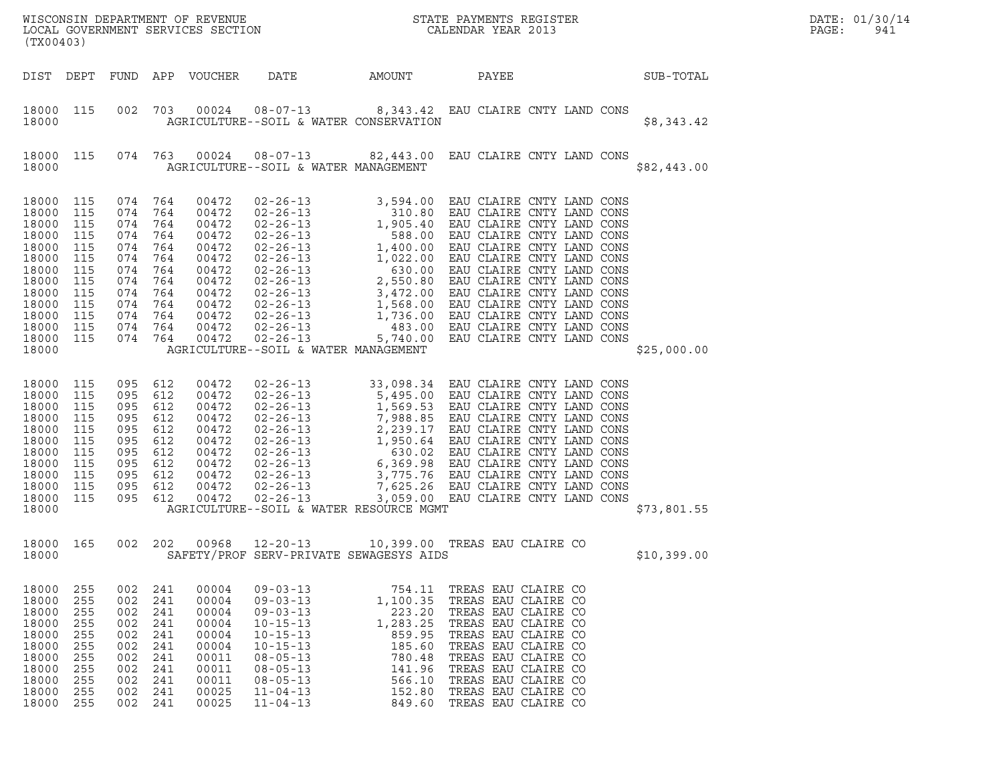| (TX00403)                                                                                                                      |                                                                                  |                                                                                  |                                                                                             |                                                                                                                   |                                                                                                                                                                                                                                                                                                                   |                                                                                                                |                                                                                                                                                                                                                                                           |  |  |  |             | DATE: 01/30/14<br>PAGE:<br>941 |
|--------------------------------------------------------------------------------------------------------------------------------|----------------------------------------------------------------------------------|----------------------------------------------------------------------------------|---------------------------------------------------------------------------------------------|-------------------------------------------------------------------------------------------------------------------|-------------------------------------------------------------------------------------------------------------------------------------------------------------------------------------------------------------------------------------------------------------------------------------------------------------------|----------------------------------------------------------------------------------------------------------------|-----------------------------------------------------------------------------------------------------------------------------------------------------------------------------------------------------------------------------------------------------------|--|--|--|-------------|--------------------------------|
| DIST DEPT                                                                                                                      |                                                                                  |                                                                                  |                                                                                             | FUND APP VOUCHER                                                                                                  | DATE                                                                                                                                                                                                                                                                                                              | AMOUNT                                                                                                         | PAYEE                                                                                                                                                                                                                                                     |  |  |  | SUB-TOTAL   |                                |
| 18000 115<br>18000                                                                                                             |                                                                                  | 002                                                                              |                                                                                             |                                                                                                                   | 703  00024  08-07-13  8,343.42  EAU CLAIRE CNTY LAND CONS<br>AGRICULTURE--SOIL & WATER CONSERVATION                                                                                                                                                                                                               |                                                                                                                |                                                                                                                                                                                                                                                           |  |  |  | \$8,343.42  |                                |
| 18000 115<br>18000                                                                                                             |                                                                                  |                                                                                  |                                                                                             |                                                                                                                   | 074 763 00024 08-07-13 82,443.00 EAU CLAIRE CNTY LAND CONS<br>AGRICULTURE--SOIL & WATER MANAGEMENT                                                                                                                                                                                                                |                                                                                                                |                                                                                                                                                                                                                                                           |  |  |  | \$82,443.00 |                                |
| 18000<br>18000<br>18000<br>18000<br>18000<br>18000<br>18000<br>18000<br>18000<br>18000<br>18000<br>18000<br>18000 115<br>18000 | 115<br>115<br>115<br>115<br>115<br>115<br>115<br>115<br>115<br>115<br>115<br>115 | 074<br>074<br>074<br>074<br>074<br>074<br>074<br>074<br>074<br>074<br>074<br>074 | 764<br>764<br>764<br>764<br>764<br>764<br>764<br>764<br>764<br>764<br>764<br>764<br>074 764 | 00472<br>00472<br>00472<br>00472<br>00472<br>00472<br>00472<br>00472<br>00472<br>00472<br>00472<br>00472<br>00472 | AGRICULTURE--SOIL & WATER MANAGEMENT                                                                                                                                                                                                                                                                              |                                                                                                                |                                                                                                                                                                                                                                                           |  |  |  | \$25,000.00 |                                |
| 18000 115<br>18000<br>18000<br>18000<br>18000<br>18000<br>18000<br>18000<br>18000<br>18000 115<br>18000 115<br>18000           | 115<br>115<br>115<br>115<br>115<br>115<br>115<br>115                             | 095<br>095 612<br>095<br>095<br>095<br>095<br>095<br>095 612<br>095              | 095 612<br>612<br>612<br>612<br>612<br>612<br>612<br>612<br>095 612                         | 00472<br>00472<br>00472<br>00472<br>00472<br>00472<br>00472<br>00472<br>00472<br>00472<br>00472                   | 02-26-13<br>02-26-13<br>02-26-13<br>02-26-13<br>7,988.85 EAU CLAIRE CNTY LAND CONS<br>02-26-13<br>7,988.85 EAU CLAIRE CNTY LAND CONS<br>02-26-13<br>2,239.17 EAU CLAIRE CNTY LAND CONS<br>02-26-13<br>6,369.98 EAU CLAIRE CNTY LAND CONS<br>02-26-13<br>$02 - 26 - 13$<br>AGRICULTURE--SOIL & WATER RESOURCE MGMT | 02-26-13 33,098.34 EAU CLAIRE CNTY LAND CONS<br>3,059.00 EAU CLAIRE CNTY LAND CONS                             |                                                                                                                                                                                                                                                           |  |  |  | \$73,801.55 |                                |
| 18000 165<br>18000                                                                                                             |                                                                                  | 002 202                                                                          |                                                                                             | 00968                                                                                                             | $12 - 20 - 13$<br>SAFETY/PROF SERV-PRIVATE SEWAGESYS AIDS                                                                                                                                                                                                                                                         | 10,399.00 TREAS EAU CLAIRE CO                                                                                  |                                                                                                                                                                                                                                                           |  |  |  | \$10,399.00 |                                |
| 18000<br>18000<br>18000<br>18000<br>18000<br>18000<br>18000<br>18000<br>18000<br>18000<br>18000                                | 255<br>255<br>255<br>255<br>255<br>255<br>255<br>255<br>255<br>255<br>255        | 002<br>002<br>002<br>002<br>002<br>002<br>002<br>002<br>002<br>002<br>002        | 241<br>241<br>241<br>241<br>241<br>241<br>241<br>241<br>241<br>241<br>241                   | 00004<br>00004<br>00004<br>00004<br>00004<br>00004<br>00011<br>00011<br>00011<br>00025<br>00025                   | $09 - 03 - 13$<br>$09 - 03 - 13$<br>$09 - 03 - 13$<br>$10 - 15 - 13$<br>$10 - 15 - 13$<br>$10 - 15 - 13$<br>$08 - 05 - 13$<br>$08 - 05 - 13$<br>$08 - 05 - 13$<br>$11 - 04 - 13$<br>$11 - 04 - 13$                                                                                                                | 754.11<br>1,100.35<br>223.20<br>1,283.25<br>859.95<br>185.60<br>780.48<br>141.96<br>566.10<br>152.80<br>849.60 | TREAS EAU CLAIRE CO<br>TREAS EAU CLAIRE CO<br>TREAS EAU CLAIRE CO<br>TREAS EAU CLAIRE CO<br>TREAS EAU CLAIRE CO<br>TREAS EAU CLAIRE CO<br>TREAS EAU CLAIRE CO<br>TREAS EAU CLAIRE CO<br>TREAS EAU CLAIRE CO<br>TREAS EAU CLAIRE CO<br>TREAS EAU CLAIRE CO |  |  |  |             |                                |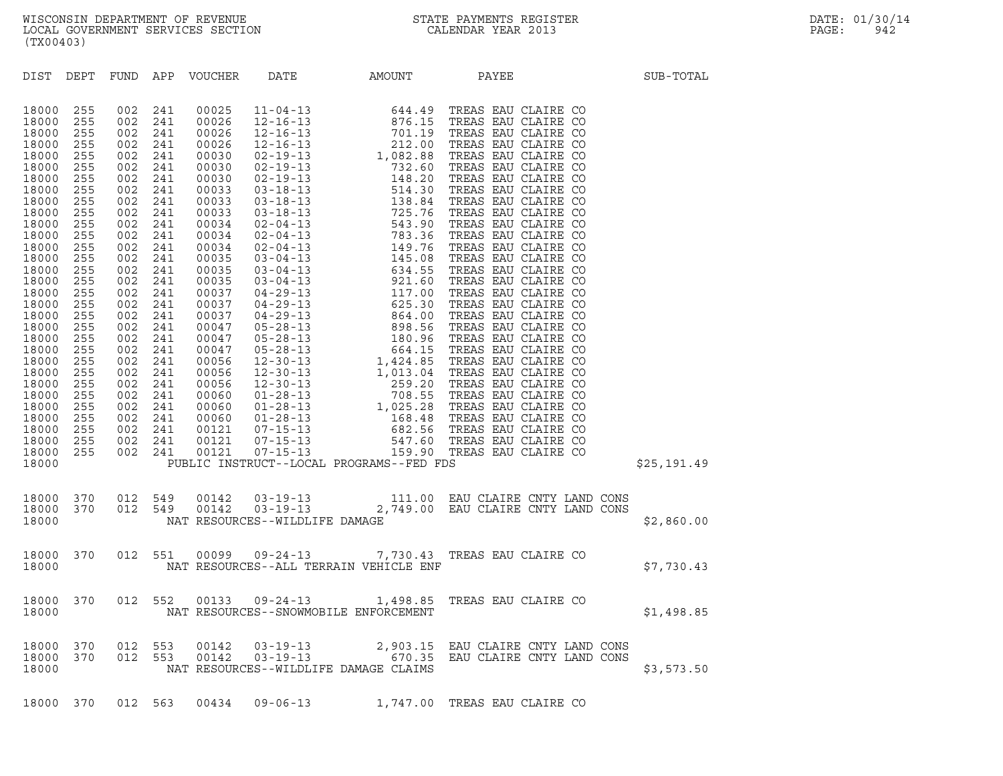| DIST | DEPT FUND |  |  | APP VOUCHER DATE AMOUNT PAYEE                |                                                                                                                                                                                                                                                               | SUB-TOTAL  |
|------|-----------|--|--|----------------------------------------------|---------------------------------------------------------------------------------------------------------------------------------------------------------------------------------------------------------------------------------------------------------------|------------|
|      |           |  |  |                                              | $\frac{1}{2}$ $\frac{1}{25}$ , 191.49                                                                                                                                                                                                                         |            |
|      |           |  |  |                                              |                                                                                                                                                                                                                                                               |            |
|      |           |  |  |                                              | 18000 370 012 549 00142 03-19-13 111.00 EAU CLAIRE CNTY LAND CONS<br>18000 370 012 549 00142 03-19-13 2,749.00 EAU CLAIRE CNTY LAND CONS<br>18000 NAT RESOURCES--WILDLIFE DAMAGE                                                                              | \$2,860.00 |
|      |           |  |  | 18000 NAT RESOURCES--ALL TERRAIN VEHICLE ENF | 18000 370 012 551 00099 09-24-13 7,730.43 TREAS EAU CLAIRE CO<br>TREAS EAU CLAIRE CO                                                                                                                                                                          | \$7,730.43 |
|      |           |  |  |                                              | 18000 370 012 552 00133 09-24-13 1,498.85 TREAS EAU CLAIRE CO<br>18000 NAT RESOURCES--SNOWMOBILE ENFORCEMENT                                                                                                                                                  | \$1,498.85 |
|      |           |  |  |                                              | $\begin{tabular}{cccc} 18000 & 370 & 012 & 553 & 00142 & 03-19-13 & 2,903.15 & EAU CLAIRE CNTY LAND CONS \\ 18000 & 370 & 012 & 553 & 00142 & 03-19-13 & 670.35 & EAU CLAIRE CNTY LAND CONS \\ & \text{NAT RESOURCES--WILDLIFE DAMAGE CLAIMS & \end{tabular}$ | \$3,573.50 |
|      |           |  |  |                                              | 18000 370 012 563 00434 09-06-13 1,747.00 TREAS EAU CLAIRE CO                                                                                                                                                                                                 |            |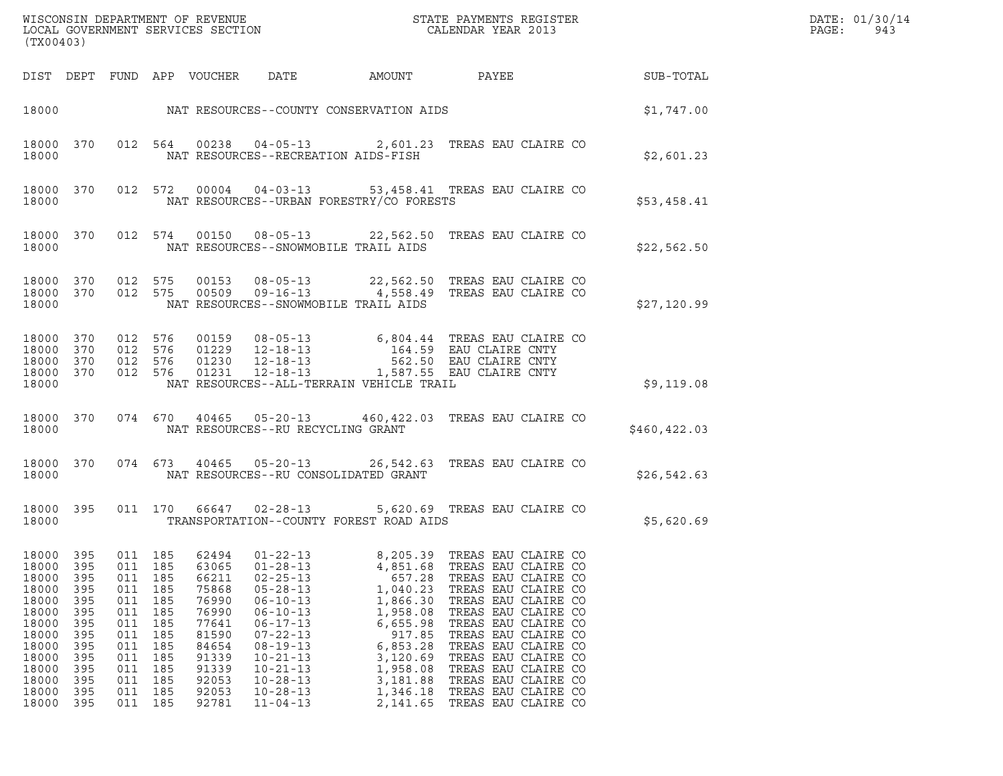| DATE: | 01/30/14 |
|-------|----------|
| PAGE: | 943      |

| (TX00403)                                                                                                                  |                                                                                                  |                                                                                                                |                                                                    |                                                                                                                            |                                                                                                                                                                                                                                                          |                                                                                                                                                                  |                                                                                                                                                                                                                                                                                                                                |               | DATE: 01/30/14<br>PAGE:<br>943 |
|----------------------------------------------------------------------------------------------------------------------------|--------------------------------------------------------------------------------------------------|----------------------------------------------------------------------------------------------------------------|--------------------------------------------------------------------|----------------------------------------------------------------------------------------------------------------------------|----------------------------------------------------------------------------------------------------------------------------------------------------------------------------------------------------------------------------------------------------------|------------------------------------------------------------------------------------------------------------------------------------------------------------------|--------------------------------------------------------------------------------------------------------------------------------------------------------------------------------------------------------------------------------------------------------------------------------------------------------------------------------|---------------|--------------------------------|
|                                                                                                                            |                                                                                                  |                                                                                                                |                                                                    | DIST DEPT FUND APP VOUCHER                                                                                                 | DATE                                                                                                                                                                                                                                                     | <b>AMOUNT</b>                                                                                                                                                    | PAYEE                                                                                                                                                                                                                                                                                                                          | SUB-TOTAL     |                                |
| 18000                                                                                                                      |                                                                                                  |                                                                                                                |                                                                    |                                                                                                                            | NAT RESOURCES--COUNTY CONSERVATION AIDS                                                                                                                                                                                                                  |                                                                                                                                                                  |                                                                                                                                                                                                                                                                                                                                | \$1,747.00    |                                |
| 18000 370<br>18000                                                                                                         |                                                                                                  |                                                                                                                |                                                                    |                                                                                                                            | NAT RESOURCES--RECREATION AIDS-FISH                                                                                                                                                                                                                      |                                                                                                                                                                  | 012 564 00238 04-05-13 2,601.23 TREAS EAU CLAIRE CO                                                                                                                                                                                                                                                                            | \$2,601.23    |                                |
| 18000 370<br>18000                                                                                                         |                                                                                                  |                                                                                                                |                                                                    |                                                                                                                            | NAT RESOURCES--URBAN FORESTRY/CO FORESTS                                                                                                                                                                                                                 |                                                                                                                                                                  | 012 572 00004 04-03-13 53,458.41 TREAS EAU CLAIRE CO                                                                                                                                                                                                                                                                           | \$53,458.41   |                                |
| 18000 370<br>18000                                                                                                         |                                                                                                  |                                                                                                                |                                                                    |                                                                                                                            | NAT RESOURCES--SNOWMOBILE TRAIL AIDS                                                                                                                                                                                                                     |                                                                                                                                                                  | 012 574 00150 08-05-13 22,562.50 TREAS EAU CLAIRE CO                                                                                                                                                                                                                                                                           | \$22,562.50   |                                |
| 18000 370<br>18000 370<br>18000                                                                                            |                                                                                                  |                                                                                                                | 012 575                                                            |                                                                                                                            | NAT RESOURCES--SNOWMOBILE TRAIL AIDS                                                                                                                                                                                                                     |                                                                                                                                                                  | 00153  08-05-13  22,562.50  TREAS EAU CLAIRE CO<br>012 575 00509 09-16-13 4,558.49 TREAS EAU CLAIRE CO                                                                                                                                                                                                                         | \$27,120.99   |                                |
| 18000 370<br>18000 370<br>18000 370<br>18000 370<br>18000                                                                  |                                                                                                  | 012 576<br>012 576<br>012 576                                                                                  | 012 576                                                            | 01231                                                                                                                      | NAT RESOURCES--ALL-TERRAIN VEHICLE TRAIL                                                                                                                                                                                                                 |                                                                                                                                                                  | 12-18-13 1,587.55 EAU CLAIRE CNTY                                                                                                                                                                                                                                                                                              | \$9,119.08    |                                |
| 18000 370<br>18000                                                                                                         |                                                                                                  |                                                                                                                |                                                                    |                                                                                                                            | NAT RESOURCES--RU RECYCLING GRANT                                                                                                                                                                                                                        |                                                                                                                                                                  | 074 670 40465 05-20-13 460,422.03 TREAS EAU CLAIRE CO                                                                                                                                                                                                                                                                          | \$460, 422.03 |                                |
| 18000 370<br>18000                                                                                                         |                                                                                                  |                                                                                                                |                                                                    |                                                                                                                            | NAT RESOURCES--RU CONSOLIDATED GRANT                                                                                                                                                                                                                     |                                                                                                                                                                  | 074 673 40465 05-20-13 26,542.63 TREAS EAU CLAIRE CO                                                                                                                                                                                                                                                                           | \$26,542.63   |                                |
| 18000 395<br>18000                                                                                                         |                                                                                                  |                                                                                                                |                                                                    |                                                                                                                            | 011 170 66647 02-28-13<br>TRANSPORTATION--COUNTY FOREST ROAD AIDS                                                                                                                                                                                        |                                                                                                                                                                  | 5,620.69 TREAS EAU CLAIRE CO                                                                                                                                                                                                                                                                                                   | \$5,620.69    |                                |
| 18000<br>18000<br>18000<br>18000<br>18000<br>18000<br>18000<br>18000<br>18000<br>18000<br>18000<br>18000<br>18000<br>18000 | 395<br>395<br>395<br>395<br>395<br>395<br>395<br>395<br>395<br>395<br>395<br>395<br>395<br>- 395 | 011<br>011<br>011<br>011<br>011<br>011<br>011<br>011<br>011<br>011 185<br>011<br>011 185<br>011 185<br>011 185 | 185<br>185<br>185<br>185<br>185<br>185<br>185<br>185<br>185<br>185 | 62494<br>63065<br>66211<br>75868<br>76990<br>76990<br>77641<br>81590<br>84654<br>91339<br>91339<br>92053<br>92053<br>92781 | $01 - 22 - 13$<br>$01 - 28 - 13$<br>$02 - 25 - 13$<br>$05 - 28 - 13$<br>$06 - 10 - 13$<br>$06 - 10 - 13$<br>$06 - 17 - 13$<br>$07 - 22 - 13$<br>$08 - 19 - 13$<br>$10 - 21 - 13$<br>$10 - 21 - 13$<br>$10 - 28 - 13$<br>$10 - 28 - 13$<br>$11 - 04 - 13$ | 8,205.39<br>4,851.68<br>657.28<br>1,040.23<br>1,866.30<br>1,958.08<br>6,655.98<br>917.85<br>6,853.28<br>3,120.69<br>1,958.08<br>3,181.88<br>1,346.18<br>2,141.65 | TREAS EAU CLAIRE CO<br>TREAS EAU CLAIRE CO<br>TREAS EAU CLAIRE CO<br>TREAS EAU CLAIRE CO<br>TREAS EAU CLAIRE CO<br>TREAS EAU CLAIRE CO<br>TREAS EAU CLAIRE CO<br>TREAS EAU CLAIRE CO<br>TREAS EAU CLAIRE CO<br>TREAS EAU CLAIRE CO<br>TREAS EAU CLAIRE CO<br>TREAS EAU CLAIRE CO<br>TREAS EAU CLAIRE CO<br>TREAS EAU CLAIRE CO |               |                                |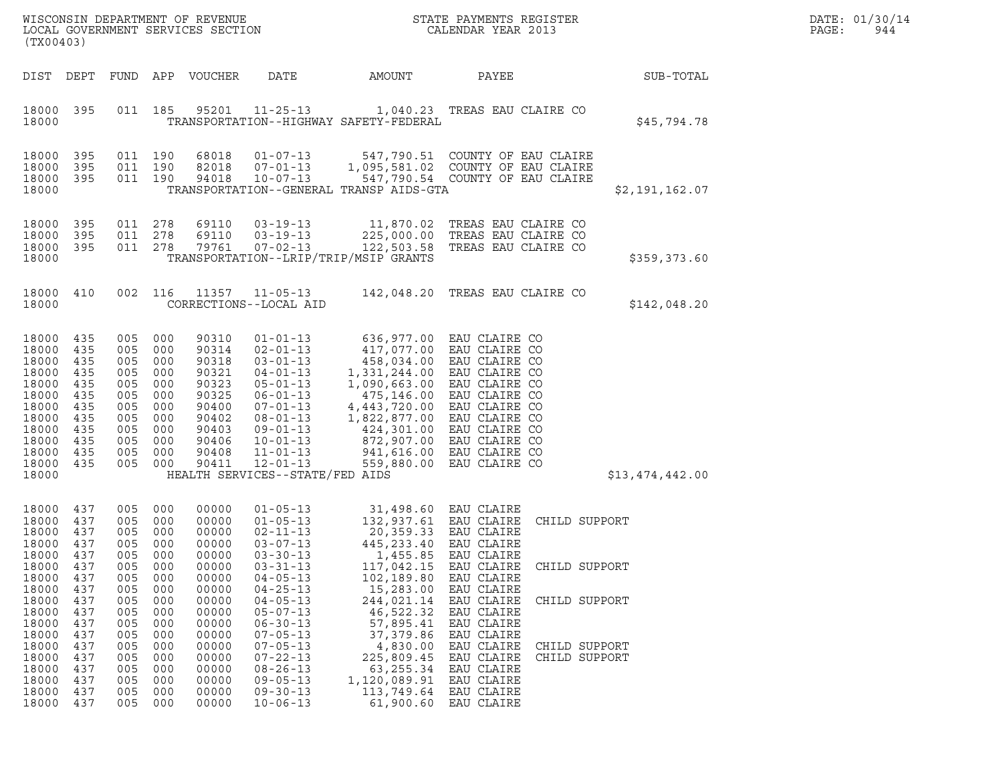| WISCONSIN DEPARTMENT OF REVENUE   | STATE PAYMENTS REGISTER | DATE: 01/30/14 |
|-----------------------------------|-------------------------|----------------|
| LOCAL GOVERNMENT SERVICES SECTION | CALENDAR YEAR 2013      | 944<br>PAGE :  |

| (TX00403)                                                                                                                                                          |                                                                                                                     |                                                                                                                                |                                                                                                                     | WISCONSIN DEPARTMENT OF REVENUE<br>LOCAL GOVERNMENT SERVICES SECTION                                                                                           | $\frac{1}{2}$                                                                                                                                                                                                                                                                                                              | STATE PAYMENTS REGISTER<br>CALENDAR YEAR 2013                                                                                                                                                                                                                                                                  |                                                                                                                                                                                     |                                                                                   |                 | DATE: 01/30/14<br>PAGE:<br>944 |
|--------------------------------------------------------------------------------------------------------------------------------------------------------------------|---------------------------------------------------------------------------------------------------------------------|--------------------------------------------------------------------------------------------------------------------------------|---------------------------------------------------------------------------------------------------------------------|----------------------------------------------------------------------------------------------------------------------------------------------------------------|----------------------------------------------------------------------------------------------------------------------------------------------------------------------------------------------------------------------------------------------------------------------------------------------------------------------------|----------------------------------------------------------------------------------------------------------------------------------------------------------------------------------------------------------------------------------------------------------------------------------------------------------------|-------------------------------------------------------------------------------------------------------------------------------------------------------------------------------------|-----------------------------------------------------------------------------------|-----------------|--------------------------------|
| DIST DEPT                                                                                                                                                          |                                                                                                                     |                                                                                                                                |                                                                                                                     | FUND APP VOUCHER                                                                                                                                               | DATE                                                                                                                                                                                                                                                                                                                       | <b>AMOUNT</b>                                                                                                                                                                                                                                                                                                  | PAYEE                                                                                                                                                                               |                                                                                   | SUB-TOTAL       |                                |
| 18000 395<br>18000                                                                                                                                                 |                                                                                                                     | 011 185                                                                                                                        |                                                                                                                     | 95201                                                                                                                                                          |                                                                                                                                                                                                                                                                                                                            | 11-25-13 1,040.23 TREAS EAU CLAIRE CO<br>TRANSPORTATION--HIGHWAY SAFETY-FEDERAL                                                                                                                                                                                                                                |                                                                                                                                                                                     |                                                                                   | \$45,794.78     |                                |
| 18000<br>18000<br>18000 395<br>18000                                                                                                                               | 395<br>395                                                                                                          | 011 190<br>011 190<br>011 190                                                                                                  |                                                                                                                     | 68018<br>82018<br>94018                                                                                                                                        | $10 - 07 - 13$                                                                                                                                                                                                                                                                                                             | 01-07-13 547,790.51 COUNTY OF EAU CLAIRE<br>07-01-13 1,095,581.02 COUNTY OF EAU CLAIRE<br>547,790.54 COUNTY OF EAU CLAIRE<br>TRANSPORTATION--GENERAL TRANSP AIDS-GTA                                                                                                                                           |                                                                                                                                                                                     |                                                                                   | \$2,191,162.07  |                                |
| 18000<br>18000<br>18000<br>18000                                                                                                                                   | 395<br>395<br>395                                                                                                   | 011 278<br>011 278<br>011 278                                                                                                  |                                                                                                                     | 69110<br>69110<br>79761                                                                                                                                        | $03 - 19 - 13$<br>$07 - 02 - 13$                                                                                                                                                                                                                                                                                           | 03-19-13 11,870.02 TREAS EAU CLAIRE CO<br>225,000.00 TREAS EAU CLAIRE CO<br>122,503.58 TREAS EAU CLAIRE CO<br>TRANSPORTATION--LRIP/TRIP/MSIP GRANTS                                                                                                                                                            |                                                                                                                                                                                     |                                                                                   | \$359,373.60    |                                |
| 18000 410<br>18000                                                                                                                                                 |                                                                                                                     | 002 116                                                                                                                        |                                                                                                                     | 11357                                                                                                                                                          | $11 - 05 - 13$<br>CORRECTIONS--LOCAL AID                                                                                                                                                                                                                                                                                   | 142,048.20 TREAS EAU CLAIRE CO                                                                                                                                                                                                                                                                                 |                                                                                                                                                                                     |                                                                                   | \$142,048.20    |                                |
| 18000<br>18000<br>18000<br>18000<br>18000<br>18000<br>18000<br>18000<br>18000<br>18000<br>18000<br>18000 435<br>18000                                              | 435<br>435<br>435<br>435<br>435<br>435<br>435<br>435<br>435<br>435<br>435                                           | 005 000<br>005 000<br>005<br>005<br>005<br>005<br>005<br>005<br>005<br>005<br>005<br>005 000                                   | 000<br>000<br>000<br>000<br>000<br>000<br>000<br>000<br>000                                                         | 90310<br>90314<br>90318<br>90321<br>90323<br>90325<br>90400<br>90402<br>90403<br>90406<br>90408<br>90411                                                       | $01 - 01 - 13$<br>$02 - 01 - 13$<br>$03 - 01 - 13$<br>$04 - 01 - 13$<br>$05 - 01 - 13$<br>$06 - 01 - 13$<br>$09 - 01 - 13$<br>$10 - 01 - 13$<br>$11 - 01 - 13$<br>$12 - 01 - 13$<br>HEALTH SERVICES--STATE/FED AIDS                                                                                                        | 636,977.00 EAU CLAIRE CO<br>417,077.00 EAU CLAIRE CO<br>458,034.00 EAU CLAIRE CO<br>1,331,244.00 EAU CLAIRE CO<br>1,090,663.00 EAU CLAIRE CO<br>475,146.00 EAU CLAIRE CO<br>07-01-13 4,443,720.00 EAU CLAIRE CO<br>08-01-13 1,822,877.00 EAU CLAIRE CO<br>424,301.00 EAU CLAIRE CO<br>872,907.00 EAU CLAIRE CO | 872,907.00 EAU CLAIRE CO<br>941,616.00 EAU CLAIRE CO<br>559,880.00 EAU CLAIRE CO                                                                                                    |                                                                                   | \$13,474,442.00 |                                |
| 18000 437<br>18000<br>18000<br>18000<br>18000<br>18000<br>18000<br>18000<br>18000<br>18000<br>18000<br>18000<br>18000<br>18000<br>18000<br>18000<br>18000<br>18000 | 437<br>437<br>437<br>437<br>437<br>437<br>437<br>437<br>437<br>437<br>437<br>437<br>437<br>437<br>437<br>437<br>437 | 005 000<br>005<br>005<br>005<br>005<br>005<br>005<br>005<br>005<br>005<br>005<br>005<br>005<br>005<br>005<br>005<br>005<br>005 | 000<br>000<br>000<br>000<br>000<br>000<br>000<br>000<br>000<br>000<br>000<br>000<br>000<br>000<br>000<br>000<br>000 | 00000<br>00000<br>00000<br>00000<br>00000<br>00000<br>00000<br>00000<br>00000<br>00000<br>00000<br>00000<br>00000<br>00000<br>00000<br>00000<br>00000<br>00000 | $01 - 05 - 13$<br>$01 - 05 - 13$<br>02-11-13<br>$03 - 07 - 13$<br>$03 - 30 - 13$<br>$03 - 31 - 13$<br>$04 - 05 - 13$<br>$04 - 25 - 13$<br>$04 - 05 - 13$<br>$05 - 07 - 13$<br>$06 - 30 - 13$<br>$07 - 05 - 13$<br>$07 - 05 - 13$<br>$07 - 22 - 13$<br>$08 - 26 - 13$<br>$09 - 05 - 13$<br>$09 - 30 - 13$<br>$10 - 06 - 13$ | 31,498.60 EAU CLAIRE<br>132,937.61 PAV VI.<br>20,359.33 EAU CLAIRE<br>117,042.15<br>102,189.80 EAU CLAIRE<br>15,283.00<br>244,021.14 EAU CLAIRE<br>46,522.32<br>57,895.41<br>37,379.86<br>225,809.45<br>1,120,089.91<br>113,749.64 EAU CLAIRE<br>61,900.60                                                     | 1,455.85 EAU CLAIRE<br>EAU CLAIRE<br>EAU CLAIRE<br>EAU CLAIRE<br>EAU CLAIRE<br>EAU CLAIRE<br>4,830.00 EAU CLAIRE<br>EAU CLAIRE<br>63, 255.34 EAU CLAIRE<br>EAU CLAIRE<br>EAU CLAIRE | CHILD SUPPORT<br>CHILD SUPPORT<br>CHILD SUPPORT<br>CHILD SUPPORT<br>CHILD SUPPORT |                 |                                |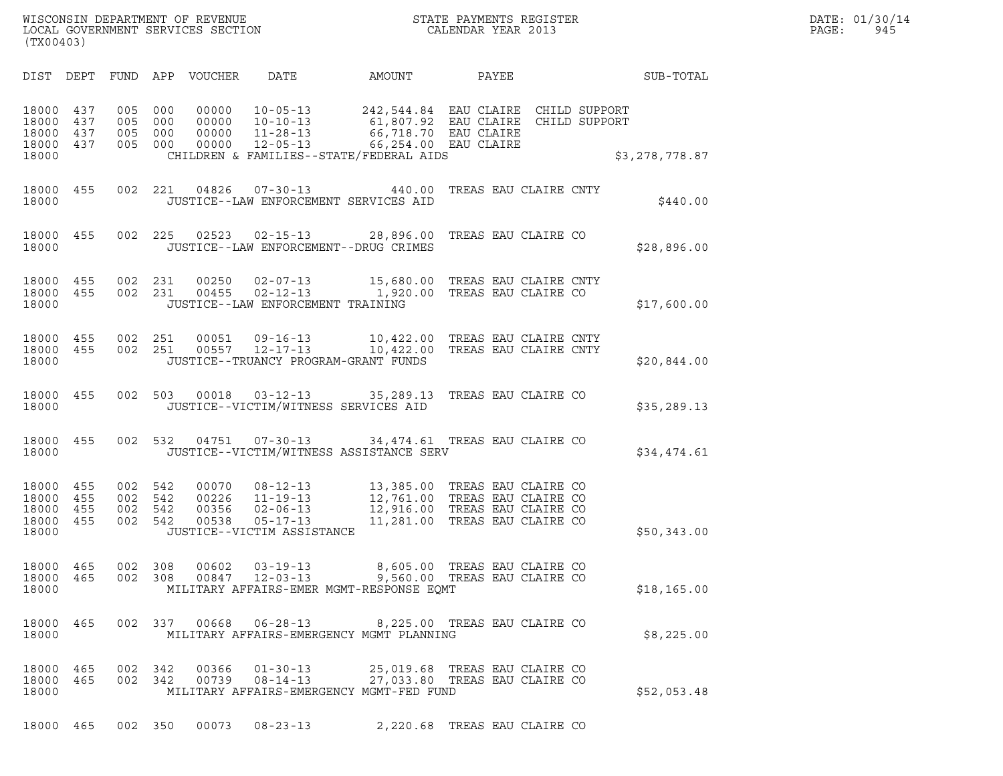| WISCONSIN DEPARTMENT OF REVENUE<br>LOCAL GOVERNMENT SERVICES SECTION<br>(TX00403) | STATE PAYMENTS REGISTER<br>CALENDAR YEAR 2013 | DATE: 01/30/14<br>PAGE:<br>945 |
|-----------------------------------------------------------------------------------|-----------------------------------------------|--------------------------------|

| (TX00403)                                                             |                                                                                          |                                                                                                                 |                                                              |                                                                                          |                                                  |
|-----------------------------------------------------------------------|------------------------------------------------------------------------------------------|-----------------------------------------------------------------------------------------------------------------|--------------------------------------------------------------|------------------------------------------------------------------------------------------|--------------------------------------------------|
| DIST<br>DEPT                                                          | FUND<br>APP<br><b>VOUCHER</b>                                                            | DATE                                                                                                            | AMOUNT                                                       | PAYEE                                                                                    | SUB-TOTAL                                        |
| 18000<br>437<br>437<br>18000<br>18000<br>437<br>18000<br>437<br>18000 | 005<br>000<br>00000<br>005<br>000<br>00000<br>005<br>000<br>00000<br>005<br>000<br>00000 | $10 - 05 - 13$<br>$10 - 10 - 13$<br>$11 - 28 - 13$<br>$12 - 05 - 13$<br>CHILDREN & FAMILIES--STATE/FEDERAL AIDS | 242,544.84 EAU CLAIRE<br>61,807.92<br>66,718.70<br>66,254.00 | EAU CLAIRE<br>EAU CLAIRE<br>EAU CLAIRE                                                   | CHILD SUPPORT<br>CHILD SUPPORT<br>\$3,278,778.87 |
| 18000<br>455<br>18000                                                 | 002<br>221<br>04826                                                                      | $07 - 30 - 13$<br>JUSTICE--LAW ENFORCEMENT SERVICES AID                                                         | 440.00                                                       | TREAS EAU CLAIRE CNTY                                                                    | \$440.00                                         |
| 455<br>18000<br>18000                                                 | 002<br>225<br>02523                                                                      | $02 - 15 - 13$<br>JUSTICE--LAW ENFORCEMENT--DRUG CRIMES                                                         | 28,896.00                                                    | TREAS EAU CLAIRE CO                                                                      | \$28,896.00                                      |
| 18000<br>455<br>18000<br>455<br>18000                                 | 002<br>231<br>00250<br>002<br>231<br>00455                                               | $02 - 07 - 13$<br>$02 - 12 - 13$<br>JUSTICE--LAW ENFORCEMENT TRAINING                                           | 15,680.00<br>1,920.00                                        | TREAS EAU CLAIRE CNTY<br>TREAS EAU CLAIRE CO                                             | \$17,600.00                                      |
| 18000<br>455<br>18000<br>455<br>18000                                 | 002<br>251<br>00051<br>002<br>251<br>00557                                               | $09 - 16 - 13$<br>$12 - 17 - 13$<br>JUSTICE--TRUANCY PROGRAM-GRANT FUNDS                                        | 10,422.00<br>10,422.00                                       | TREAS EAU CLAIRE CNTY<br>TREAS EAU CLAIRE CNTY                                           | \$20,844.00                                      |
| 455<br>18000<br>18000                                                 | 002<br>503<br>00018                                                                      | $03 - 12 - 13$<br>JUSTICE--VICTIM/WITNESS SERVICES AID                                                          | 35,289.13                                                    | TREAS EAU CLAIRE CO                                                                      | \$35, 289.13                                     |
| 18000<br>455<br>18000                                                 | 002<br>532<br>04751                                                                      | $07 - 30 - 13$<br>JUSTICE--VICTIM/WITNESS ASSISTANCE SERV                                                       |                                                              | 34,474.61 TREAS EAU CLAIRE CO                                                            | \$34,474.61                                      |
| 18000<br>455<br>18000<br>455<br>18000<br>455<br>18000<br>455<br>18000 | 002<br>542<br>00070<br>002<br>542<br>00226<br>002<br>542<br>00356<br>002<br>542<br>00538 | $08 - 12 - 13$<br>$11 - 19 - 13$<br>$02 - 06 - 13$<br>$05 - 17 - 13$<br>JUSTICE--VICTIM ASSISTANCE              | 13,385.00<br>12,761.00<br>12,916.00<br>11,281.00             | TREAS EAU CLAIRE CO<br>TREAS EAU CLAIRE CO<br>TREAS EAU CLAIRE CO<br>TREAS EAU CLAIRE CO | \$50,343.00                                      |
| 18000<br>465<br>18000<br>465<br>18000                                 | 002<br>308<br>00602<br>002<br>308<br>00847                                               | $03 - 19 - 13$<br>$12 - 03 - 13$<br>MILITARY AFFAIRS-EMER MGMT-RESPONSE EQMT                                    | 8,605.00<br>9,560.00                                         | TREAS EAU CLAIRE CO<br>TREAS EAU CLAIRE CO                                               | \$18, 165.00                                     |
| 465<br>18000<br>18000                                                 | 002<br>337<br>00668                                                                      | MILITARY AFFAIRS-EMERGENCY MGMT PLANNING                                                                        |                                                              | 06-28-13 8,225.00 TREAS EAU CLAIRE CO                                                    | \$8,225.00                                       |
| 18000<br>465<br>18000<br>465<br>18000                                 | 002<br>00366<br>342<br>002<br>342<br>00739                                               | $01 - 30 - 13$<br>$08 - 14 - 13$<br>MILITARY AFFAIRS-EMERGENCY MGMT-FED FUND                                    |                                                              | 25,019.68 TREAS EAU CLAIRE CO<br>27,033.80 TREAS EAU CLAIRE CO                           | \$52,053.48                                      |

18000 465 002 350 00073 08-23-13 2,220.68 TREAS EAU CLAIRE CO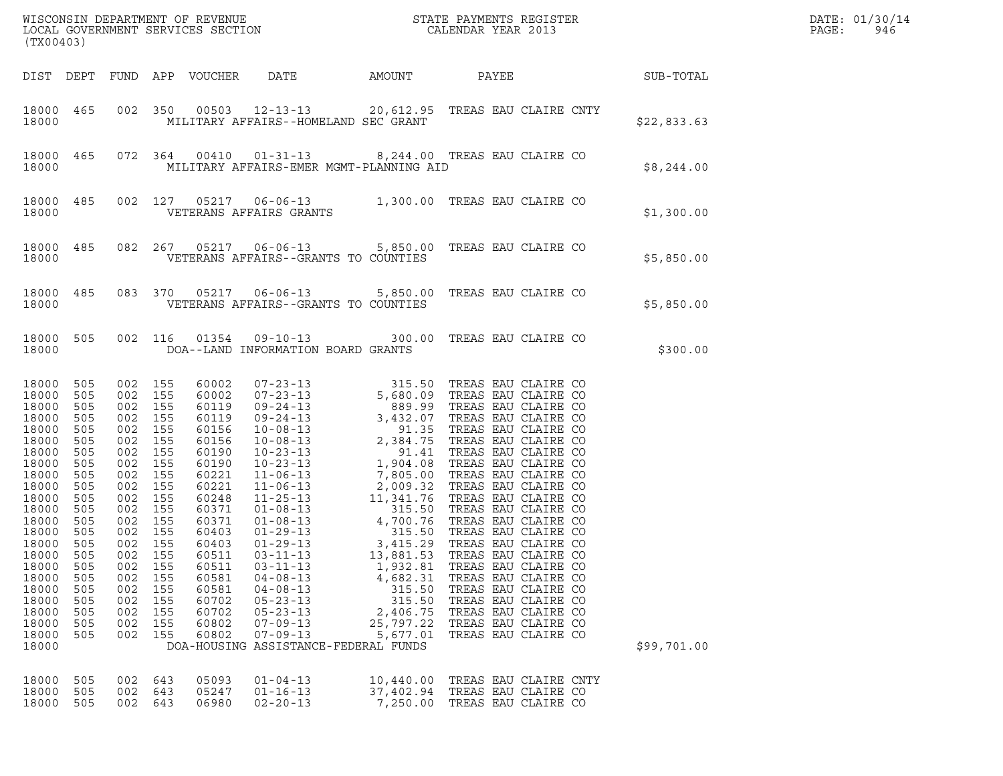| (TX00403)                                                                                                                                                                                                            |                                                                                                                                                               |                                                                                                                                                                                               |                                                                                                       |                                                                                                                                                                                                             |                                                                                                                                                                                      |                                                                                            | WISCONSIN DEPARTMENT OF REVENUE<br>LOCAL GOVERNMENT SERVICES SECTION<br>CALENDAR YEAR 2013                                                                                           |  | DATE: 01/30/14<br>PAGE:<br>946 |  |
|----------------------------------------------------------------------------------------------------------------------------------------------------------------------------------------------------------------------|---------------------------------------------------------------------------------------------------------------------------------------------------------------|-----------------------------------------------------------------------------------------------------------------------------------------------------------------------------------------------|-------------------------------------------------------------------------------------------------------|-------------------------------------------------------------------------------------------------------------------------------------------------------------------------------------------------------------|--------------------------------------------------------------------------------------------------------------------------------------------------------------------------------------|--------------------------------------------------------------------------------------------|--------------------------------------------------------------------------------------------------------------------------------------------------------------------------------------|--|--------------------------------|--|
|                                                                                                                                                                                                                      |                                                                                                                                                               |                                                                                                                                                                                               |                                                                                                       | DIST DEPT FUND APP VOUCHER                                                                                                                                                                                  | DATE                                                                                                                                                                                 | AMOUNT                                                                                     | PAYEE                                                                                                                                                                                |  | <b>SUB-TOTAL</b>               |  |
| 18000                                                                                                                                                                                                                | 18000 465                                                                                                                                                     |                                                                                                                                                                                               |                                                                                                       |                                                                                                                                                                                                             | MILITARY AFFAIRS--HOMELAND SEC GRANT                                                                                                                                                 |                                                                                            | 002 350 00503 12-13-13 20,612.95 TREAS EAU CLAIRE CNTY                                                                                                                               |  | \$22,833.63                    |  |
| 18000                                                                                                                                                                                                                | 18000 465                                                                                                                                                     |                                                                                                                                                                                               |                                                                                                       |                                                                                                                                                                                                             | MILITARY AFFAIRS-EMER MGMT-PLANNING AID                                                                                                                                              |                                                                                            | 072 364 00410 01-31-13 8,244.00 TREAS EAU CLAIRE CO                                                                                                                                  |  | \$8,244.00                     |  |
| 18000                                                                                                                                                                                                                | 18000 485                                                                                                                                                     |                                                                                                                                                                                               |                                                                                                       |                                                                                                                                                                                                             |                                                                                                                                                                                      |                                                                                            | 002 127 05217 06-06-13 1,300.00 TREAS EAU CLAIRE CO<br>VETERANS AFFAIRS GRANTS                                                                                                       |  | \$1,300.00                     |  |
| 18000                                                                                                                                                                                                                | 18000 485                                                                                                                                                     |                                                                                                                                                                                               | 082 267                                                                                               |                                                                                                                                                                                                             | VETERANS AFFAIRS--GRANTS TO COUNTIES                                                                                                                                                 |                                                                                            | 05217  06-06-13  5,850.00  TREAS EAU CLAIRE CO                                                                                                                                       |  | \$5,850.00                     |  |
| 18000                                                                                                                                                                                                                | 18000 485                                                                                                                                                     |                                                                                                                                                                                               |                                                                                                       |                                                                                                                                                                                                             | VETERANS AFFAIRS--GRANTS TO COUNTIES                                                                                                                                                 |                                                                                            | 083 370 05217 06-06-13 5,850.00 TREAS EAU CLAIRE CO                                                                                                                                  |  | \$5,850.00                     |  |
| 18000                                                                                                                                                                                                                | 18000 505                                                                                                                                                     | 002 116                                                                                                                                                                                       |                                                                                                       |                                                                                                                                                                                                             | DOA--LAND INFORMATION BOARD GRANTS                                                                                                                                                   |                                                                                            | 01354  09-10-13  300.00  TREAS EAU CLAIRE CO                                                                                                                                         |  | \$300.00                       |  |
| 18000<br>18000<br>18000<br>18000<br>18000<br>18000<br>18000<br>18000<br>18000<br>18000<br>18000<br>18000<br>18000<br>18000<br>18000<br>18000<br>18000<br>18000<br>18000<br>18000<br>18000<br>18000<br>18000<br>18000 | 505<br>505<br>505<br>505<br>505<br>505<br>505<br>505<br>505<br>505<br>505<br>505<br>505<br>505<br>505<br>505<br>505<br>505<br>505<br>505<br>505<br>505<br>505 | 002 155<br>002 155<br>002 155<br>002<br>002 155<br>002<br>002<br>002<br>002<br>002<br>002 155<br>002<br>002 155<br>002 155<br>002 155<br>002<br>002<br>002<br>002<br>002<br>002<br>002<br>002 | 155<br>155<br>155<br>155<br>155<br>155<br>155<br>155<br>155<br>155<br>155<br>155<br>155<br>155<br>155 | 60002<br>60002<br>60119<br>60119<br>60156<br>60156<br>60190<br>60190<br>60221<br>60221<br>60248<br>60371<br>60371<br>60403<br>60403<br>60511<br>60511<br>60581<br>60581<br>60702<br>60702<br>60802<br>60802 | $03 - 11 - 13$<br>$03 - 11 - 13$<br>$04 - 08 - 13$<br>$04 - 08 - 13$<br>$05 - 23 - 13$<br>$05 - 23 - 13$<br>$07 - 09 - 13$<br>$07 - 09 - 13$<br>DOA-HOUSING ASSISTANCE-FEDERAL FUNDS | 13,881.53<br>1,932.81<br>4,682.31<br>315.50<br>315.50<br>2,406.75<br>25,797.22<br>5,677.01 | TREAS EAU CLAIRE CO<br>TREAS EAU CLAIRE CO<br>TREAS EAU CLAIRE CO<br>TREAS EAU CLAIRE CO<br>TREAS EAU CLAIRE CO<br>TREAS EAU CLAIRE CO<br>TREAS EAU CLAIRE CO<br>TREAS EAU CLAIRE CO |  | \$99,701.00                    |  |
| 18000<br>18000<br>18000                                                                                                                                                                                              | 505<br>505<br>505                                                                                                                                             | 002<br>002<br>002                                                                                                                                                                             | 643<br>643<br>643                                                                                     | 05093<br>05247<br>06980                                                                                                                                                                                     | $01 - 04 - 13$<br>$01 - 16 - 13$<br>$02 - 20 - 13$                                                                                                                                   | 10,440.00<br>37,402.94<br>7,250.00                                                         | TREAS EAU CLAIRE CNTY<br>TREAS EAU CLAIRE CO<br>TREAS EAU CLAIRE CO                                                                                                                  |  |                                |  |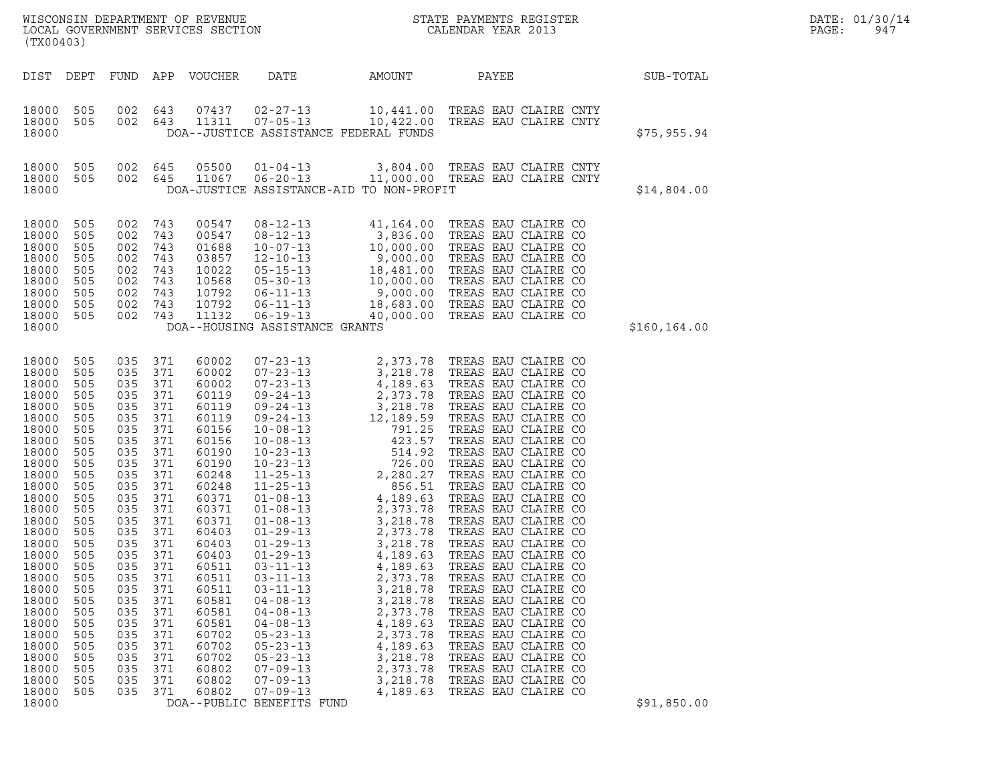| (TX00403)                                                                                                                                                                                                                                                         |                                                                                                                                                                                                         |                                                                                                                                                                                                                            |                                                                                                                                               | WISCONSIN DEPARTMENT OF REVENUE<br>LOCAL GOVERNMENT SERVICES SECTION                                                                                                                                                                                              |                                                                                                                                                                                                                                                                                                                                                                                                                                                                                                                                                |                                                                                                                                                          | STATE PAYMENTS REGISTER<br>CALENDAR YEAR 2013                                                                                                                                                                                                                                                                                                                                                                                                                                                                                                                                                                                                                                                    |               | DATE: 01/30/14<br>PAGE:<br>947 |
|-------------------------------------------------------------------------------------------------------------------------------------------------------------------------------------------------------------------------------------------------------------------|---------------------------------------------------------------------------------------------------------------------------------------------------------------------------------------------------------|----------------------------------------------------------------------------------------------------------------------------------------------------------------------------------------------------------------------------|-----------------------------------------------------------------------------------------------------------------------------------------------|-------------------------------------------------------------------------------------------------------------------------------------------------------------------------------------------------------------------------------------------------------------------|------------------------------------------------------------------------------------------------------------------------------------------------------------------------------------------------------------------------------------------------------------------------------------------------------------------------------------------------------------------------------------------------------------------------------------------------------------------------------------------------------------------------------------------------|----------------------------------------------------------------------------------------------------------------------------------------------------------|--------------------------------------------------------------------------------------------------------------------------------------------------------------------------------------------------------------------------------------------------------------------------------------------------------------------------------------------------------------------------------------------------------------------------------------------------------------------------------------------------------------------------------------------------------------------------------------------------------------------------------------------------------------------------------------------------|---------------|--------------------------------|
| DIST DEPT                                                                                                                                                                                                                                                         |                                                                                                                                                                                                         |                                                                                                                                                                                                                            |                                                                                                                                               | FUND APP VOUCHER                                                                                                                                                                                                                                                  | DATE                                                                                                                                                                                                                                                                                                                                                                                                                                                                                                                                           | AMOUNT                                                                                                                                                   | PAYEE                                                                                                                                                                                                                                                                                                                                                                                                                                                                                                                                                                                                                                                                                            | SUB-TOTAL     |                                |
| 18000<br>18000<br>18000                                                                                                                                                                                                                                           | 505<br>505                                                                                                                                                                                              |                                                                                                                                                                                                                            | 002 643<br>002 643                                                                                                                            | 07437<br>11311                                                                                                                                                                                                                                                    | $02 - 27 - 13$<br>07-05-13<br>DOA--JUSTICE ASSISTANCE FEDERAL FUNDS                                                                                                                                                                                                                                                                                                                                                                                                                                                                            | 10,422.00                                                                                                                                                | 10,441.00 TREAS EAU CLAIRE CNTY<br>TREAS EAU CLAIRE CNTY                                                                                                                                                                                                                                                                                                                                                                                                                                                                                                                                                                                                                                         | \$75,955.94   |                                |
| 18000<br>18000<br>18000                                                                                                                                                                                                                                           | 505<br>505                                                                                                                                                                                              | 002<br>002 645                                                                                                                                                                                                             | 645                                                                                                                                           | 05500<br>11067                                                                                                                                                                                                                                                    | $01 - 04 - 13$<br>$06 - 20 - 13$<br>DOA-JUSTICE ASSISTANCE-AID TO NON-PROFIT                                                                                                                                                                                                                                                                                                                                                                                                                                                                   |                                                                                                                                                          | 3,804.00 TREAS EAU CLAIRE CNTY<br>11,000.00 TREAS EAU CLAIRE CNTY                                                                                                                                                                                                                                                                                                                                                                                                                                                                                                                                                                                                                                | \$14,804.00   |                                |
| 18000<br>18000<br>18000<br>18000<br>18000<br>18000<br>18000<br>18000<br>18000<br>18000                                                                                                                                                                            | 505<br>505<br>505<br>505<br>505<br>505<br>505<br>505<br>505                                                                                                                                             | 002 743<br>002<br>002 743<br>002<br>002 743<br>002 743<br>002 743<br>002 743<br>002 743                                                                                                                                    | 743<br>743                                                                                                                                    | 00547<br>00547<br>01688<br>03857<br>10022<br>10568<br>10792<br>10792<br>11132                                                                                                                                                                                     | $06 - 19 - 13$<br>DOA--HOUSING ASSISTANCE GRANTS                                                                                                                                                                                                                                                                                                                                                                                                                                                                                               | 40,000.00                                                                                                                                                | 41,164.00 TREAS EAU CLAIRE CO<br>08-12-13<br>08-12-13<br>08-12-13<br>10,000.00 TREAS EAU CLAIRE CO<br>10-07-13<br>10,000.00 TREAS EAU CLAIRE CO<br>12-10-13<br>9,000.00 TREAS EAU CLAIRE CO<br>05-30-13<br>10,000.00 TREAS EAU CLAIRE CO<br>06-11-13<br>9,000.00 TREAS EAU CLAIRE CO<br><br>TREAS EAU CLAIRE CO                                                                                                                                                                                                                                                                                                                                                                                  | \$160, 164.00 |                                |
| 18000<br>18000<br>18000<br>18000<br>18000<br>18000<br>18000<br>18000<br>18000<br>18000<br>18000<br>18000<br>18000<br>18000<br>18000<br>18000<br>18000<br>18000<br>18000<br>18000<br>18000<br>18000<br>18000<br>18000<br>18000<br>18000<br>18000<br>18000<br>18000 | 505<br>505<br>505<br>505<br>505<br>505<br>505<br>505<br>505<br>505<br>505<br>505<br>505<br>505<br>505<br>505<br>505<br>505<br>505<br>505<br>505<br>505<br>505<br>505<br>505<br>505<br>505<br>505<br>505 | 035 371<br>035 371<br>035 371<br>035<br>035 371<br>035<br>035 371<br>035<br>035 371<br>035<br>035 371<br>035 371<br>035 371<br>035 371<br>035<br>035<br>035<br>035<br>035<br>035<br>035<br>035<br>035<br>035<br>035<br>035 | 035 371<br>035 371<br>371<br>371<br>371<br>371<br>035 371<br>371<br>371<br>371<br>371<br>371<br>371<br>371<br>371<br>371<br>371<br>371<br>371 | 60002<br>60002<br>60002<br>60119<br>60119<br>60119<br>60156<br>60156<br>60190<br>60190<br>60248<br>60248<br>60371<br>60371<br>60371<br>60403<br>60403<br>60403<br>60511<br>60511<br>60511<br>60581<br>60581<br>60581<br>60702<br>60702<br>60702<br>60802<br>60802 | $07 - 23 - 13$<br>$\begin{array}{cccc} 07-23-13 & 2,373\ .78 \\ 07-23-13 & 3,218\ .78 \\ 09-24-13 & 2,373\ .78 \\ 09-24-13 & 2,373\ .78 \\ 09-24-13 & 3,218\ .78 \\ 09-24-13 & 3,218\ .78 \\ 10-08-13 & 12,189\ .59 \\ 10-08-13 & 423\ .57 \\ 10-23-13 & 514\ .92 \\ 10-23-13 & 2,280\ .27 \\ 11-25$<br>$01 - 29 - 13$<br>$01 - 29 - 13$<br>$03 - 11 - 13$<br>$03 - 11 - 13$<br>$03 - 11 - 13$<br>$04 - 08 - 13$<br>$04 - 08 - 13$<br>$04 - 08 - 13$<br>$05 - 23 - 13$<br>$05 - 23 - 13$<br>$05 - 23 - 13$<br>$07 - 09 - 13$<br>$07 - 09 - 13$ | 3,218.78<br>4,189.63<br>4,189.63<br>2,373.78<br>3,218.78<br>3,218.78<br>2,373.78<br>4,189.63<br>2,373.78<br>4,189.63<br>3,218.78<br>2,373.78<br>3,218.78 | 2,373.78 TREAS EAU CLAIRE CO<br>TREAS EAU CLAIRE CO<br>TREAS EAU CLAIRE CO<br>TREAS EAU CLAIRE CO<br>TREAS EAU CLAIRE CO<br>TREAS EAU CLAIRE CO<br>TREAS EAU CLAIRE CO<br>TREAS EAU CLAIRE CO<br>TREAS EAU CLAIRE CO<br>TREAS EAU CLAIRE CO<br>TREAS EAU CLAIRE CO<br>TREAS EAU CLAIRE CO<br>TREAS EAU CLAIRE CO<br>TREAS EAU CLAIRE CO<br>TREAS EAU CLAIRE CO<br>TREAS EAU CLAIRE CO<br>TREAS EAU CLAIRE CO<br>TREAS EAU CLAIRE CO<br>TREAS EAU CLAIRE CO<br>TREAS EAU CLAIRE CO<br>TREAS EAU CLAIRE CO<br>TREAS EAU CLAIRE CO<br>TREAS EAU CLAIRE CO<br>TREAS EAU CLAIRE CO<br>TREAS EAU CLAIRE CO<br>TREAS EAU CLAIRE CO<br>TREAS EAU CLAIRE CO<br>TREAS EAU CLAIRE CO<br>TREAS EAU CLAIRE CO |               |                                |
| 18000<br>18000                                                                                                                                                                                                                                                    | 505                                                                                                                                                                                                     | 035                                                                                                                                                                                                                        | 371                                                                                                                                           | 60802                                                                                                                                                                                                                                                             | $07 - 09 - 13$<br>DOA--PUBLIC BENEFITS FUND                                                                                                                                                                                                                                                                                                                                                                                                                                                                                                    | 4,189.63                                                                                                                                                 | TREAS EAU CLAIRE CO                                                                                                                                                                                                                                                                                                                                                                                                                                                                                                                                                                                                                                                                              | \$91,850.00   |                                |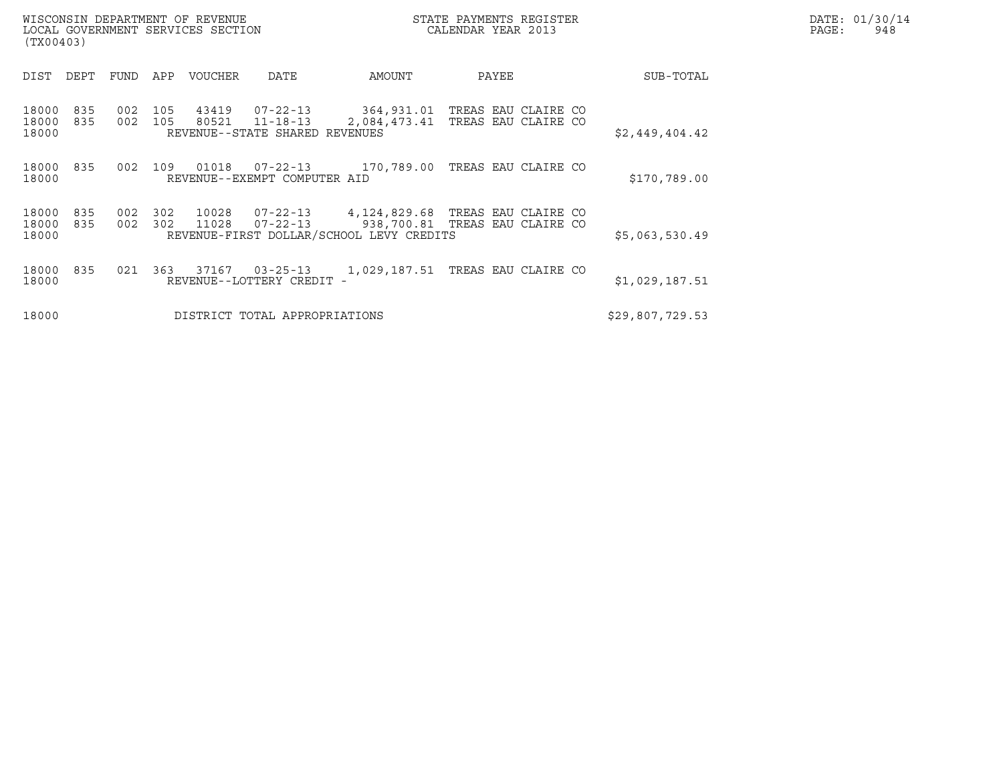| (TX00403)               |            |            |            |                |                                                        |                                                                                                           |                                               |                 |  |
|-------------------------|------------|------------|------------|----------------|--------------------------------------------------------|-----------------------------------------------------------------------------------------------------------|-----------------------------------------------|-----------------|--|
| DIST                    | DEPT       | FUND       | APP        | <b>VOUCHER</b> | DATE                                                   | AMOUNT                                                                                                    | PAYEE                                         | SUB-TOTAL       |  |
| 18000<br>18000<br>18000 | 835<br>835 | 002<br>002 | 105<br>105 | 43419<br>80521 | 07-22-13<br>11-18-13<br>REVENUE--STATE SHARED REVENUES | 364,931.01<br>2,084,473.41                                                                                | TREAS EAU CLAIRE CO<br>TREAS<br>EAU CLAIRE CO | \$2,449,404.42  |  |
| 18000<br>18000          | 835        | 002        | 109        |                | REVENUE--EXEMPT COMPUTER AID                           | 01018  07-22-13  170,789.00                                                                               | TREAS EAU CLAIRE CO                           | \$170,789.00    |  |
| 18000<br>18000<br>18000 | 835<br>835 | 002<br>002 | 302<br>302 | 10028          | 11028 07-22-13                                         | 07-22-13 4,124,829.68 TREAS EAU CLAIRE CO<br>938,700.81 TREAS<br>REVENUE-FIRST DOLLAR/SCHOOL LEVY CREDITS | EAU CLAIRE CO                                 | \$5,063,530.49  |  |
| 18000<br>18000          | 835        | 021        | 363        | 37167          | $03 - 25 - 13$<br>REVENUE--LOTTERY CREDIT              | 1,029,187.51                                                                                              | TREAS EAU CLAIRE CO                           | \$1,029,187.51  |  |
| 18000                   |            |            |            |                | DISTRICT TOTAL APPROPRIATIONS                          |                                                                                                           |                                               | \$29,807,729.53 |  |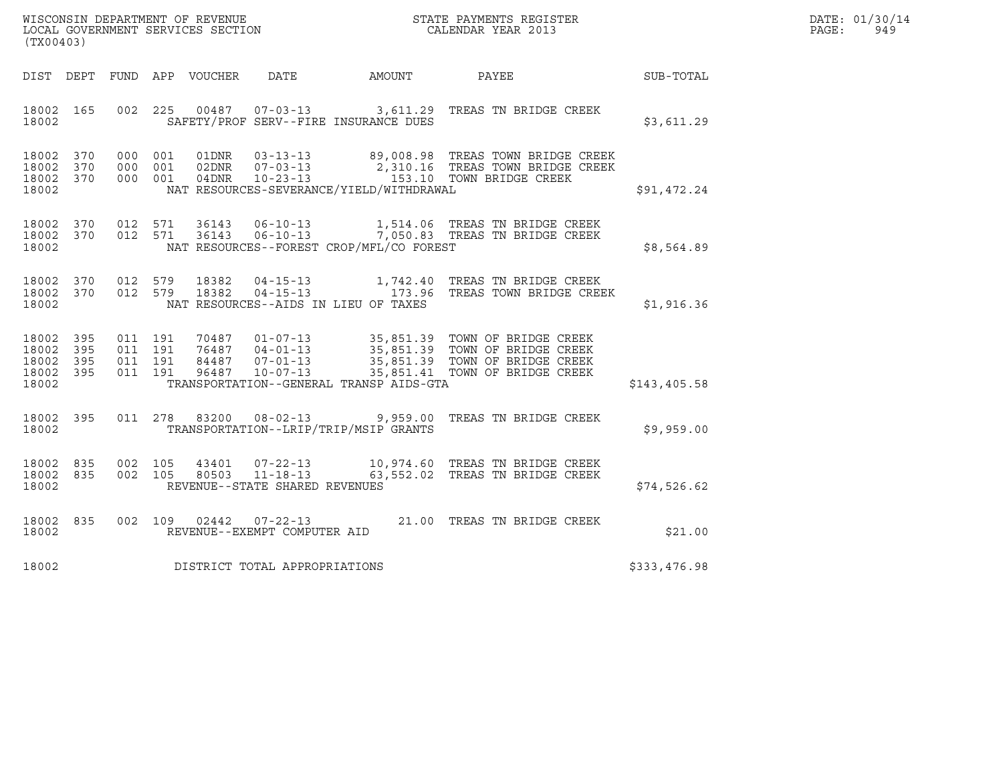| WISCONSIN DEPARTMENT OF REVENUE   | STATE PAYMENTS REGISTER | DATE: 01/30/14 |
|-----------------------------------|-------------------------|----------------|
| LOCAL GOVERNMENT SERVICES SECTION | CALENDAR YEAR 2013      | PAGE:<br>949   |

| (TX00403)                                                 |  |  |                                     |                                          | WISCONSIN DEPARTMENT OF REVENUE<br>LOCAL GOVERNMENT SERVICES SECTION<br>CALENDAR YEAR 2013                                                                                                                                                                                  | R            | DATE: 01/30/14<br>$\mathtt{PAGE:}$<br>949 |
|-----------------------------------------------------------|--|--|-------------------------------------|------------------------------------------|-----------------------------------------------------------------------------------------------------------------------------------------------------------------------------------------------------------------------------------------------------------------------------|--------------|-------------------------------------------|
|                                                           |  |  |                                     |                                          | DIST DEPT FUND APP VOUCHER DATE AMOUNT PAYEE                                                                                                                                                                                                                                | SUB-TOTAL    |                                           |
| 18002                                                     |  |  |                                     | SAFETY/PROF SERV--FIRE INSURANCE DUES    | 18002 165 002 225 00487 07-03-13 3,611.29 TREAS TN BRIDGE CREEK                                                                                                                                                                                                             | \$3,611.29   |                                           |
| 18002 370<br>18002 370<br>18002 370<br>18002              |  |  |                                     | NAT RESOURCES-SEVERANCE/YIELD/WITHDRAWAL | 000 001 01DNR 03-13-13 89,008.98 TREAS TOWN BRIDGE CREEK<br>000 001 02DNR 07-03-13 2,310.16 TREAS TOWN BRIDGE CREEK<br>000 001 04DNR 10-23-13 153.10 TOWN BRIDGE CREEK                                                                                                      | \$91,472.24  |                                           |
| 18002 370<br>18002 370<br>18002                           |  |  |                                     | NAT RESOURCES--FOREST CROP/MFL/CO FOREST | 012 571 36143 06-10-13 1,514.06 TREAS TN BRIDGE CREEK<br>012 571 36143 06-10-13 7,050.83 TREAS TN BRIDGE CREEK                                                                                                                                                              | \$8,564.89   |                                           |
| 18002 370<br>18002 370<br>18002                           |  |  |                                     | NAT RESOURCES--AIDS IN LIEU OF TAXES     | 012 579 18382 04-15-13 1,742.40 TREAS TN BRIDGE CREEK<br>012 579 18382 04-15-13 173.96 TREAS TOWN BRIDGE CREEK                                                                                                                                                              | \$1,916.36   |                                           |
| 18002 395<br>18002 395<br>18002 395<br>18002 395<br>18002 |  |  |                                     |                                          | 011 191 70487 01-07-13 35,851.39 TOWN OF BRIDGE CREEK<br>011 191 76487 04-01-13 35,851.39 TOWN OF BRIDGE CREEK<br>011 191 84487 07-01-13 35,851.39 TOWN OF BRIDGE CREEK<br>011 191 96487 10-07-13 35,851.41 TOWN OF BRIDGE CREEK<br>TRANSPORTATION--GENERAL TRANSP AIDS-GTA | \$143,405.58 |                                           |
| 18002                                                     |  |  |                                     | TRANSPORTATION--LRIP/TRIP/MSIP GRANTS    | 18002 395 011 278 83200 08-02-13 9,959.00 TREAS TN BRIDGE CREEK                                                                                                                                                                                                             | \$9,959.00   |                                           |
| 18002 835<br>18002 835<br>18002                           |  |  | REVENUE--STATE SHARED REVENUES      |                                          | 002 105 43401 07-22-13 10,974.60 TREAS TN BRIDGE CREEK<br>002 105 80503 11-18-13 63,552.02 TREAS TN BRIDGE CREEK                                                                                                                                                            | \$74,526.62  |                                           |
| 18002 835<br>18002                                        |  |  | REVENUE--EXEMPT COMPUTER AID        |                                          | 002 109 02442 07-22-13 21.00 TREAS TN BRIDGE CREEK                                                                                                                                                                                                                          | \$21.00      |                                           |
|                                                           |  |  | 18002 DISTRICT TOTAL APPROPRIATIONS |                                          |                                                                                                                                                                                                                                                                             | \$333,476.98 |                                           |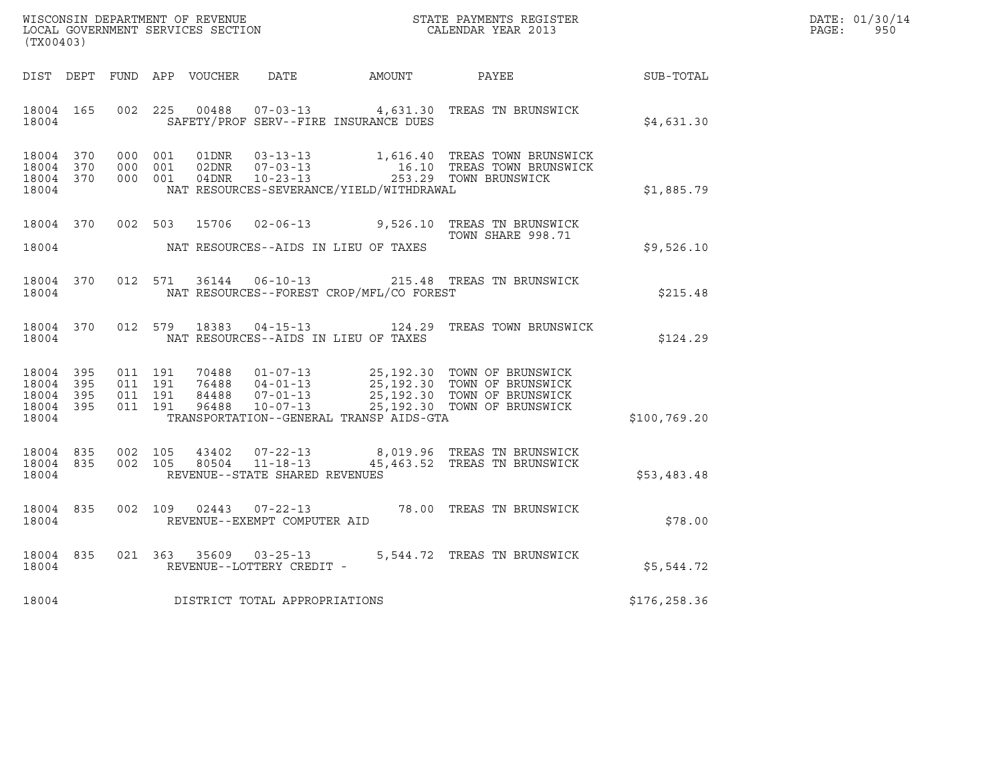| WISCONSIN DEPARTMENT OF REVENUE   | STATE PAYMENTS REGISTER | DATE: 01/30/14 |
|-----------------------------------|-------------------------|----------------|
| LOCAL GOVERNMENT SERVICES SECTION | CALENDAR YEAR 2013      | PAGE:<br>950   |

| ${\tt WISCONSIM\ DEPARTMENT\ OF\ REVENUE}\hbox{\tt STATE\ PAYMENTS\ REGISTER}\hbox{\tt LOGL\ GOVERNMENT\ SERVICES\ SECTION}\hbox{\tt SCITION}\hbox{\tt CALENDAR\ YEAR\ 2013}$<br>(TX00403) |       |  |  |  |                                |                                                |                                                                                                                                                                                                                                                                                                                          |              | DATE: 01/30/14<br>$\mathtt{PAGE:}$<br>950 |
|--------------------------------------------------------------------------------------------------------------------------------------------------------------------------------------------|-------|--|--|--|--------------------------------|------------------------------------------------|--------------------------------------------------------------------------------------------------------------------------------------------------------------------------------------------------------------------------------------------------------------------------------------------------------------------------|--------------|-------------------------------------------|
|                                                                                                                                                                                            |       |  |  |  |                                |                                                | DIST DEPT FUND APP VOUCHER DATE AMOUNT PAYEE                                                                                                                                                                                                                                                                             | SUB-TOTAL    |                                           |
|                                                                                                                                                                                            |       |  |  |  |                                | 18004 SAFETY/PROF SERV--FIRE INSURANCE DUES    | 18004 165 002 225 00488 07-03-13 4,631.30 TREAS TN BRUNSWICK                                                                                                                                                                                                                                                             | \$4,631.30   |                                           |
| 18004                                                                                                                                                                                      |       |  |  |  |                                | NAT RESOURCES-SEVERANCE/YIELD/WITHDRAWAL       | $\begin{tabular}{cccccc} 18004 & 370 & 000 & 001 & 01DNR & 03-13-13 & & 1,616.40 & TREAS TOWN BRUNSWICK \\ 18004 & 370 & 000 & 001 & 02DNR & 07-03-13 & & 16.10 & TREAS TOWN BRUNSWICK \\ 18004 & 370 & 000 & 001 & 04DNR & 10-23-13 & & 253.29 TOWN BRUNSWICK \end{tabular}$                                            | \$1,885.79   |                                           |
|                                                                                                                                                                                            |       |  |  |  |                                |                                                | 18004 370 002 503 15706 02-06-13 9,526.10 TREAS TN BRUNSWICK<br>TOWN SHARE 998.71                                                                                                                                                                                                                                        | \$9,526.10   |                                           |
|                                                                                                                                                                                            |       |  |  |  |                                | 18004 NAT RESOURCES--FOREST CROP/MFL/CO FOREST | 18004 370 012 571 36144 06-10-13 215.48 TREAS TN BRUNSWICK                                                                                                                                                                                                                                                               | \$215.48     |                                           |
|                                                                                                                                                                                            |       |  |  |  |                                | 18004 NAT RESOURCES--AIDS IN LIEU OF TAXES     | 18004 370 012 579 18383 04-15-13 124.29 TREAS TOWN BRUNSWICK                                                                                                                                                                                                                                                             | \$124.29     |                                           |
| 18004                                                                                                                                                                                      |       |  |  |  |                                | TRANSPORTATION--GENERAL TRANSP AIDS-GTA        | $\begin{array}{cccccccc} 18004 & 395 & 011 & 191 & 70488 & 01-07-13 & 25,192.30 & \text{TOWN OF BRUNSMICK} \\ 18004 & 395 & 011 & 191 & 76488 & 04-01-13 & 25,192.30 & \text{TOWN OF BRUNSMICK} \\ 18004 & 395 & 011 & 191 & 84488 & 07-01-13 & 25,192.30 & \text{TOWN OF BRUNSMICK} \\ 18004 & 395 & 011 & 191 & 96488$ | \$100,769.20 |                                           |
|                                                                                                                                                                                            | 18004 |  |  |  | REVENUE--STATE SHARED REVENUES |                                                | $\begin{array}{cccccccc} 18004 & 835 & 002 & 105 & 43402 & 07-22-13 & & & 8,019.96 & \text{TREAS TN BRUNSWICK} \\ 18004 & 835 & 002 & 105 & 80504 & 11-18-13 & & & 45,463.52 & \text{TREAS TN BRUNSWICK} \end{array}$                                                                                                    | \$53,483.48  |                                           |
|                                                                                                                                                                                            |       |  |  |  |                                |                                                | $\begin{tabular}{lllllll} 18004 & 835 & 002 & 109 & 02443 & 07-22-13 & & & 78.00 & \text{TREAS TN BRUNSWICK} \\ 18004 & & REVENUE--EXEMENT COMPUTER AID & & & & & & \end{tabular}$                                                                                                                                       | \$78.00      |                                           |
| 18004                                                                                                                                                                                      |       |  |  |  | REVENUE--LOTTERY CREDIT -      |                                                | 18004 835 021 363 35609 03-25-13 5,544.72 TREAS TN BRUNSWICK                                                                                                                                                                                                                                                             | \$5,544.72   |                                           |
| 18004                                                                                                                                                                                      |       |  |  |  | DISTRICT TOTAL APPROPRIATIONS  |                                                |                                                                                                                                                                                                                                                                                                                          | \$176,258.36 |                                           |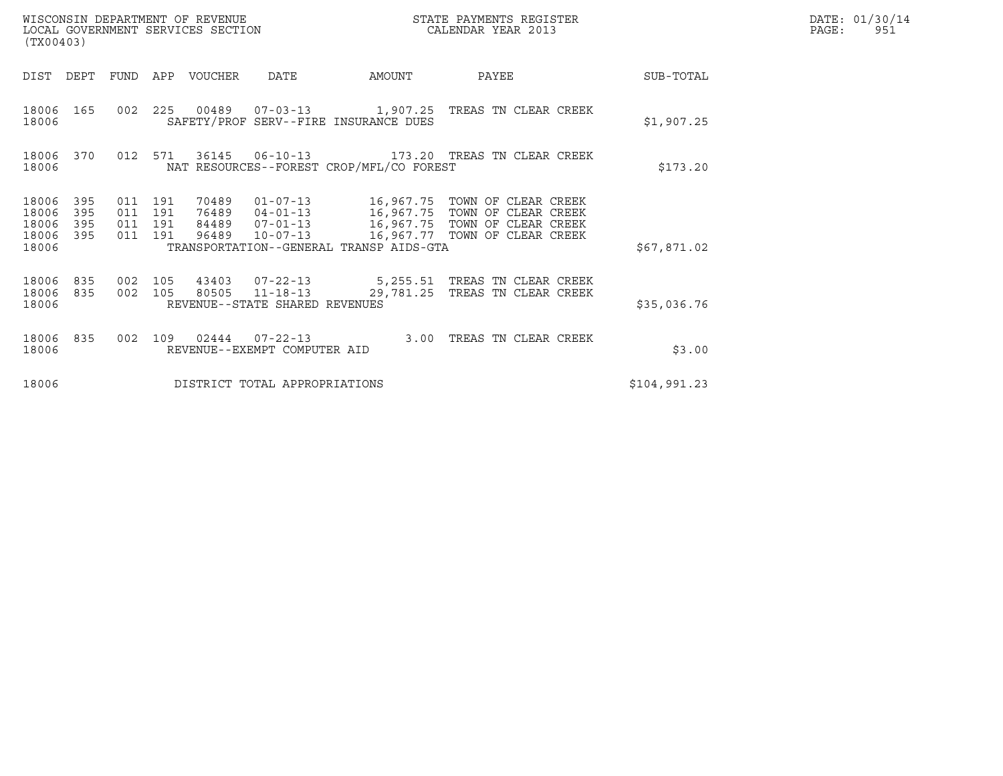| (TX00403)                                 |                          |                                          | WISCONSIN DEPARTMENT OF REVENUE<br>LOCAL GOVERNMENT SERVICES SECTION |                                                  |                                          | STATE PAYMENTS REGISTER<br>CALENDAR YEAR 2013                                              | DATE: 01/30/14<br>PAGE:<br>951 |  |
|-------------------------------------------|--------------------------|------------------------------------------|----------------------------------------------------------------------|--------------------------------------------------|------------------------------------------|--------------------------------------------------------------------------------------------|--------------------------------|--|
| DIST DEPT                                 |                          | FUND                                     | APP VOUCHER                                                          | <b>DATE</b>                                      | AMOUNT                                   | PAYEE                                                                                      | SUB-TOTAL                      |  |
| 18006 165<br>18006                        |                          |                                          |                                                                      |                                                  | SAFETY/PROF SERV--FIRE INSURANCE DUES    | 002  225  00489  07-03-13   1,907.25  TREAS TN CLEAR CREEK                                 | \$1,907.25                     |  |
| 18006 370<br>18006                        |                          | 012 571                                  |                                                                      |                                                  | NAT RESOURCES--FOREST CROP/MFL/CO FOREST |                                                                                            | \$173.20                       |  |
| 18006<br>18006<br>18006<br>18006<br>18006 | 395<br>395<br>395<br>395 | 011 191<br>011 191<br>011 191<br>011 191 | 70489<br>76489<br>96489                                              |                                                  | TRANSPORTATION--GENERAL TRANSP AIDS-GTA  | 84489  07-01-13   16,967.75  TOWN OF CLEAR CREEK<br>10-07-13 16,967.77 TOWN OF CLEAR CREEK | \$67,871.02                    |  |
| 18006<br>18006<br>18006                   | 835<br>835               | 002 105<br>002 105                       |                                                                      | 80505 11-18-13<br>REVENUE--STATE SHARED REVENUES |                                          | 43403  07-22-13  5,255.51  TREAS TN CLEAR CREEK<br>29,781.25 TREAS TN CLEAR CREEK          | \$35,036.76                    |  |
| 18006<br>18006                            | 835                      | 002 109                                  |                                                                      | 02444 07-22-13<br>REVENUE--EXEMPT COMPUTER AID   | 3.00                                     | TREAS TN CLEAR CREEK                                                                       | \$3.00                         |  |
| 18006                                     |                          |                                          |                                                                      | DISTRICT TOTAL APPROPRIATIONS                    |                                          |                                                                                            | \$104,991.23                   |  |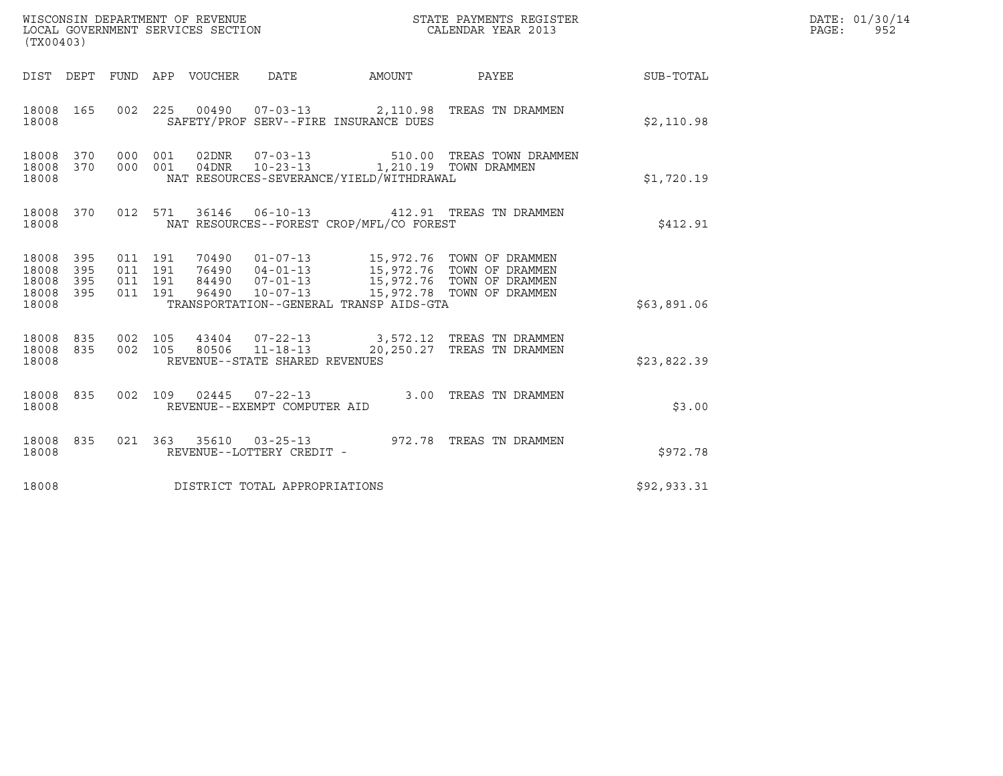| (TX00403)                                         |            |                                          | WISCONSIN DEPARTMENT OF REVENUE<br>LOCAL GOVERNMENT SERVICES SECTION |                                                  |                                          | STATE PAYMENTS REGISTER<br>CALENDAR YEAR 2013                                                                                  |                  | DATE: 01/30/14<br>$\mathtt{PAGE}$ :<br>952 |
|---------------------------------------------------|------------|------------------------------------------|----------------------------------------------------------------------|--------------------------------------------------|------------------------------------------|--------------------------------------------------------------------------------------------------------------------------------|------------------|--------------------------------------------|
|                                                   |            |                                          | DIST DEPT FUND APP VOUCHER DATE                                      |                                                  | AMOUNT                                   | <b>PAYEE</b>                                                                                                                   | <b>SUB-TOTAL</b> |                                            |
| 18008 165<br>18008                                |            |                                          |                                                                      |                                                  | SAFETY/PROF SERV--FIRE INSURANCE DUES    | 002 225 00490 07-03-13 2,110.98 TREAS TN DRAMMEN                                                                               | \$2,110.98       |                                            |
| 18008 370 000 001<br>18008 370<br>18008           |            | 000 001                                  |                                                                      |                                                  | NAT RESOURCES-SEVERANCE/YIELD/WITHDRAWAL | 02DNR  07-03-13  510.00 TREAS TOWN DRAMMEN<br>04DNR  10-23-13  1,210.19 TOWN DRAMMEN                                           | \$1,720.19       |                                            |
| 18008                                             |            |                                          |                                                                      |                                                  | NAT RESOURCES--FOREST CROP/MFL/CO FOREST | 18008 370 012 571 36146 06-10-13 412.91 TREAS TN DRAMMEN                                                                       | \$412.91         |                                            |
| 18008 395<br>18008<br>18008<br>18008 395<br>18008 | 395<br>395 | 011 191<br>011 191<br>011 191<br>011 191 |                                                                      |                                                  | TRANSPORTATION--GENERAL TRANSP AIDS-GTA  | 76490 04-01-13<br>84490 07-01-13<br>96490 10-07-13<br>15,972.76 TOWN OF DRAMMEN<br>96490 10-07-13<br>15,972.78 TOWN OF DRAMMEN | \$63,891.06      |                                            |
| 18008 835<br>18008 835<br>18008                   |            | 002 105<br>002 105                       |                                                                      | 80506 11-18-13<br>REVENUE--STATE SHARED REVENUES |                                          | 43404  07-22-13  3,572.12  TREAS TN DRAMMEN<br>20,250.27 TREAS TN DRAMMEN                                                      | \$23,822.39      |                                            |
| 18008 835<br>18008                                |            |                                          |                                                                      | REVENUE--EXEMPT COMPUTER AID                     |                                          | 002 109 02445 07-22-13 3.00 TREAS TN DRAMMEN                                                                                   | \$3.00           |                                            |
| 18008 835<br>18008                                |            |                                          |                                                                      | REVENUE--LOTTERY CREDIT -                        |                                          |                                                                                                                                | \$972.78         |                                            |
| 18008                                             |            |                                          |                                                                      | DISTRICT TOTAL APPROPRIATIONS                    |                                          |                                                                                                                                | \$92,933.31      |                                            |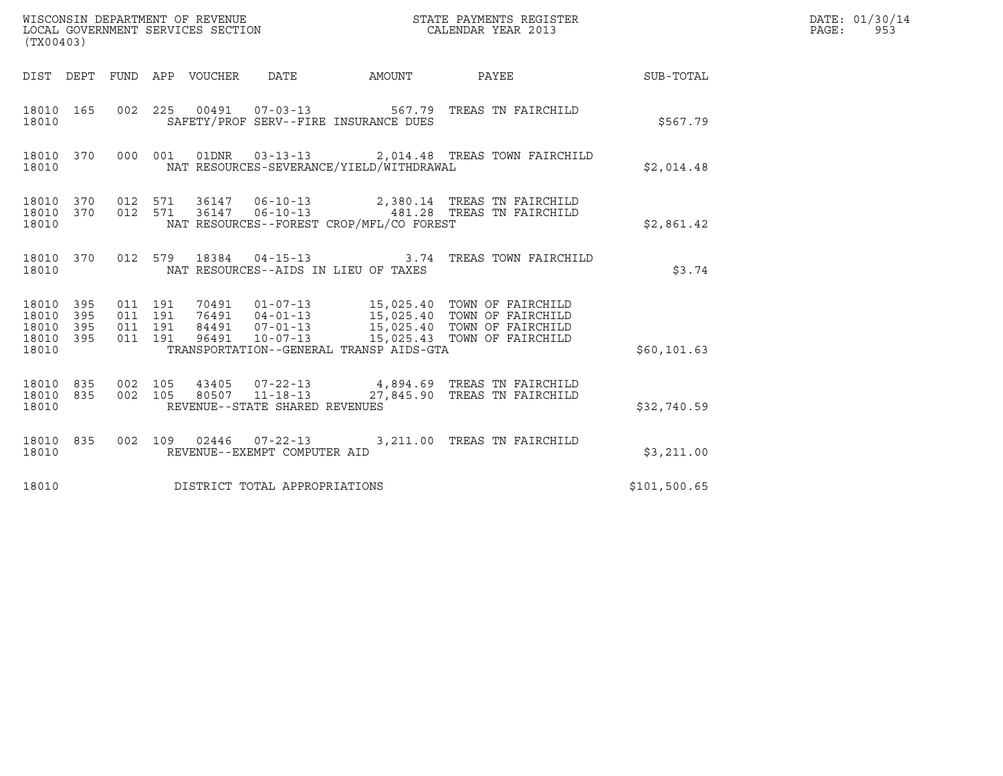| WISCONSIN DEPARTMENT OF REVENUE<br>LOCAL GOVERNMENT SERVICES SECTION | STATE PAYMENTS REGISTER<br>CALENDAR YEAR 2013 | DATE: 01/30/14<br>-953<br>PAGE: |
|----------------------------------------------------------------------|-----------------------------------------------|---------------------------------|

| (TX00403)                                                    |                                                                                                                                                                                                                                                                 |  |              | DATE: 01/30/14<br>PAGE:<br>953 |
|--------------------------------------------------------------|-----------------------------------------------------------------------------------------------------------------------------------------------------------------------------------------------------------------------------------------------------------------|--|--------------|--------------------------------|
|                                                              | DIST DEPT FUND APP VOUCHER DATE AMOUNT PAYEE                                                                                                                                                                                                                    |  | SUB-TOTAL    |                                |
| 18010                                                        | 18010  165  002  225  00491  07-03-13  567.79  TREAS TN FAIRCHILD<br>SAFETY/PROF SERV--FIRE INSURANCE DUES                                                                                                                                                      |  | \$567.79     |                                |
| 18010                                                        | 18010 370 000 001 01DNR 03-13-13 2,014.48 TREAS TOWN FAIRCHILD<br>NAT RESOURCES-SEVERANCE/YIELD/WITHDRAWAL                                                                                                                                                      |  | \$2,014.48   |                                |
| 18010 370<br>18010 370<br>18010                              | 012 571 36147 06-10-13 2,380.14 TREAS TN FAIRCHILD<br>012 571 36147 06-10-13 481.28 TREAS TN FAIRCHILD<br>NAT RESOURCES--FOREST CROP/MFL/CO FOREST                                                                                                              |  | \$2,861.42   |                                |
| 18010                                                        | 18010 370 012 579 18384 04-15-13 3.74 TREAS TOWN FAIRCHILD<br>NAT RESOURCES--AIDS IN LIEU OF TAXES                                                                                                                                                              |  | \$3.74       |                                |
| 18010 395<br>18010<br>395<br>18010 395<br>18010 395<br>18010 | 011 191 70491 01-07-13 15,025.40 TOWN OF FAIRCHILD<br>011 191 76491 04-01-13 15,025.40 TOWN OF FAIRCHILD<br>011 191 84491 07-01-13 15,025.40 TOWN OF FAIRCHILD<br>011 191 96491 10-07-13 15,025.43 TOWN OF FAIRCHILD<br>TRANSPORTATION--GENERAL TRANSP AIDS-GTA |  | \$60,101.63  |                                |
| 18010 835<br>18010 835<br>18010                              | 002 105 43405 07-22-13 4,894.69 TREAS TN FAIRCHILD<br>002 105 80507 11-18-13 27,845.90 TREAS TN FAIRCHILD<br>REVENUE--STATE SHARED REVENUES                                                                                                                     |  | \$32,740.59  |                                |
| 18010                                                        | 18010 835 002 109 02446 07-22-13 3,211.00 TREAS TN FAIRCHILD<br>REVENUE--EXEMPT COMPUTER AID                                                                                                                                                                    |  | \$3,211.00   |                                |
| 18010                                                        | DISTRICT TOTAL APPROPRIATIONS                                                                                                                                                                                                                                   |  | \$101,500.65 |                                |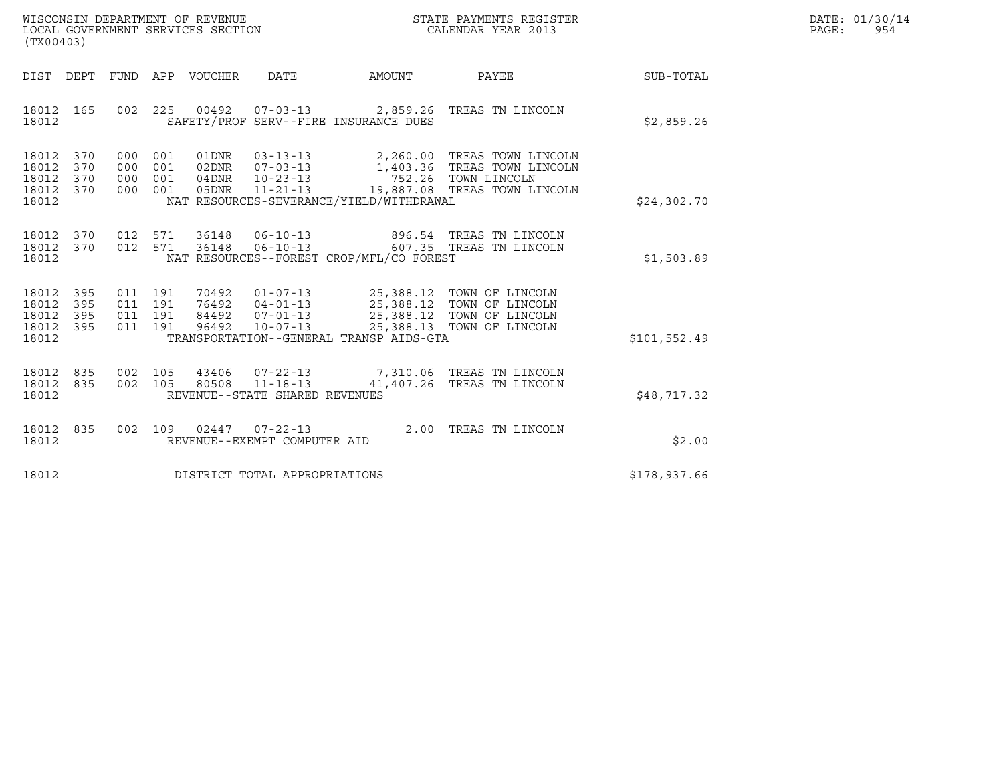| WISCONSIN DEPARTMENT OF REVENUE   | STATE PAYMENTS REGISTER | DATE: 01/30/14 |
|-----------------------------------|-------------------------|----------------|
| LOCAL GOVERNMENT SERVICES SECTION | CALENDAR YEAR 2013      | 954<br>PAGE :  |

| (TX00403)                                                                                         |                                                                                                                                                                                                                                                                                                                                                                  |              |
|---------------------------------------------------------------------------------------------------|------------------------------------------------------------------------------------------------------------------------------------------------------------------------------------------------------------------------------------------------------------------------------------------------------------------------------------------------------------------|--------------|
| DIST<br>DEPT<br>FUND                                                                              | <b>DATE</b><br>APP<br>VOUCHER<br>AMOUNT<br>PAYEE                                                                                                                                                                                                                                                                                                                 | SUB-TOTAL    |
| 165<br>002<br>18012<br>18012                                                                      | 225<br>00492<br>07-03-13 2,859.26 TREAS TN LINCOLN<br>SAFETY/PROF SERV--FIRE INSURANCE DUES                                                                                                                                                                                                                                                                      | \$2,859.26   |
| 18012<br>370<br>000<br>18012<br>370<br>000<br>18012<br>370<br>000<br>370<br>18012<br>000<br>18012 | 2,260.00 TREAS TOWN LINCOLN<br>001<br>01DNR<br>$03 - 13 - 13$<br>001<br>$07 - 03 - 13$<br>1,403.36 TREAS TOWN LINCOLN<br>02DNR<br>001<br>752.26 TOWN LINCOLN<br>04DNR<br>$10 - 23 - 13$<br>$11 - 21 - 13$<br>19,887.08 TREAS TOWN LINCOLN<br>001<br>05DNR<br>NAT RESOURCES-SEVERANCE/YIELD/WITHDRAWAL                                                            | \$24, 302.70 |
| 012<br>18012<br>370<br>370<br>012<br>18012<br>18012                                               | 06-10-13 896.54 TREAS TN LINCOLN<br>571<br>36148<br>06-10-13 607.35 TREAS TN LINCOLN<br>571<br>36148<br>NAT RESOURCES--FOREST CROP/MFL/CO FOREST                                                                                                                                                                                                                 | \$1,503.89   |
| 18012<br>395<br>011<br>18012<br>395<br>011<br>18012<br>395<br>011<br>18012<br>395<br>011<br>18012 | 25,388.12 TOWN OF LINCOLN<br>191<br>70492<br>$01 - 07 - 13$<br>25,388.12 TOWN OF LINCOLN<br>25,388.12 TOWN OF LINCOLN<br>25,388.12 TOWN OF LINCOLN<br>$04 - 01 - 13$<br>191<br>76492<br>$07 - 01 - 13$<br>25,388.12 TOWN OF LINCOLN<br>84492<br>191<br>25,388.13<br>191<br>96492<br>$10 - 07 - 13$<br>TOWN OF LINCOLN<br>TRANSPORTATION--GENERAL TRANSP AIDS-GTA | \$101,552.49 |
| 18012<br>835<br>002<br>835<br>002<br>18012<br>18012                                               | 7,310.06 TREAS TN LINCOLN<br>41,407.26 TREAS TN LINCOLN<br>105<br>43406<br>$07 - 22 - 13$<br>$11 - 18 - 13$<br>105<br>80508<br>REVENUE--STATE SHARED REVENUES                                                                                                                                                                                                    | \$48,717.32  |
| 835<br>002<br>18012<br>18012                                                                      | 2.00<br>TREAS TN LINCOLN<br>109<br>02447<br>$07 - 22 - 13$<br>REVENUE--EXEMPT COMPUTER AID                                                                                                                                                                                                                                                                       | \$2.00       |
| 18012                                                                                             | DISTRICT TOTAL APPROPRIATIONS                                                                                                                                                                                                                                                                                                                                    | \$178,937.66 |

(TX00403)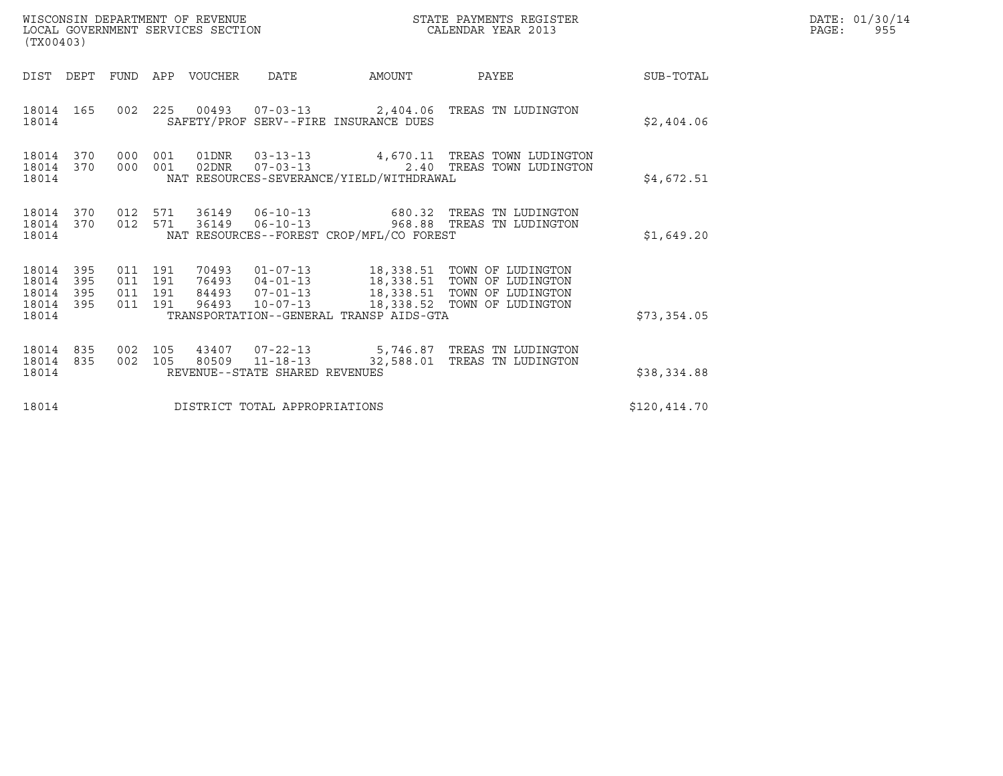| WISCONSIN DEPARTMENT OF REVENUE<br>LOCAL GOVERNMENT SERVICES SECTION<br>(TX00403) |     |                                          |                  |                                |                                          | STATE PAYMENTS REGISTER<br>CALENDAR YEAR 2013                                                                                                                                                                                   |              | DATE: 01/30/14<br>PAGE:<br>955 |
|-----------------------------------------------------------------------------------|-----|------------------------------------------|------------------|--------------------------------|------------------------------------------|---------------------------------------------------------------------------------------------------------------------------------------------------------------------------------------------------------------------------------|--------------|--------------------------------|
| DIST DEPT                                                                         |     |                                          | FUND APP VOUCHER | DATE                           | AMOUNT                                   | PAYEE                                                                                                                                                                                                                           | SUB-TOTAL    |                                |
| 18014 165<br>18014                                                                |     |                                          |                  |                                | SAFETY/PROF SERV--FIRE INSURANCE DUES    | 002 225 00493 07-03-13 2,404.06 TREAS TN LUDINGTON                                                                                                                                                                              | \$2,404.06   |                                |
| 18014 370<br>18014<br>370<br>18014                                                |     | 000 001<br>000 001                       |                  | $02DNR$ $07-03-13$             | NAT RESOURCES-SEVERANCE/YIELD/WITHDRAWAL | 01DNR  03-13-13  4,670.11 TREAS TOWN LUDINGTON<br>2.40 TREAS TOWN LUDINGTON                                                                                                                                                     | \$4,672.51   |                                |
| 18014 370<br>18014<br>370<br>18014                                                | 012 | 571<br>012 571                           | 36149            | $06 - 10 - 13$                 | NAT RESOURCES--FOREST CROP/MFL/CO FOREST | 36149   06-10-13   680.32   TREAS TN LUDINGTON<br>968.88 TREAS TN LUDINGTON                                                                                                                                                     | \$1,649.20   |                                |
| 18014<br>395<br>18014<br>395<br>395<br>18014<br>395<br>18014<br>18014             |     | 011 191<br>011 191<br>011 191<br>011 191 | 96493            | $10 - 07 - 13$                 | TRANSPORTATION--GENERAL TRANSP AIDS-GTA  | 70493  01-07-13  18,338.51  TOWN OF LUDINGTON<br>76493  04-01-13  18,338.51  TOWN OF LUDINGTON<br>84493  07-01-13  18,338.51  TOWN OF LUDINGTON<br>96493  10-07-13  18,338.52  TOWN OF LUDINGTON<br>18,338.52 TOWN OF LUDINGTON | \$73,354.05  |                                |
| 18014 835<br>18014 835<br>18014                                                   |     | 002 105<br>002 105                       | 80509            | REVENUE--STATE SHARED REVENUES |                                          | 43407  07-22-13  5,746.87  TREAS TN LUDINGTON<br>11-18-13 32,588.01 TREAS TN LUDINGTON                                                                                                                                          | \$38,334.88  |                                |
| 18014                                                                             |     |                                          |                  | DISTRICT TOTAL APPROPRIATIONS  |                                          |                                                                                                                                                                                                                                 | \$120,414.70 |                                |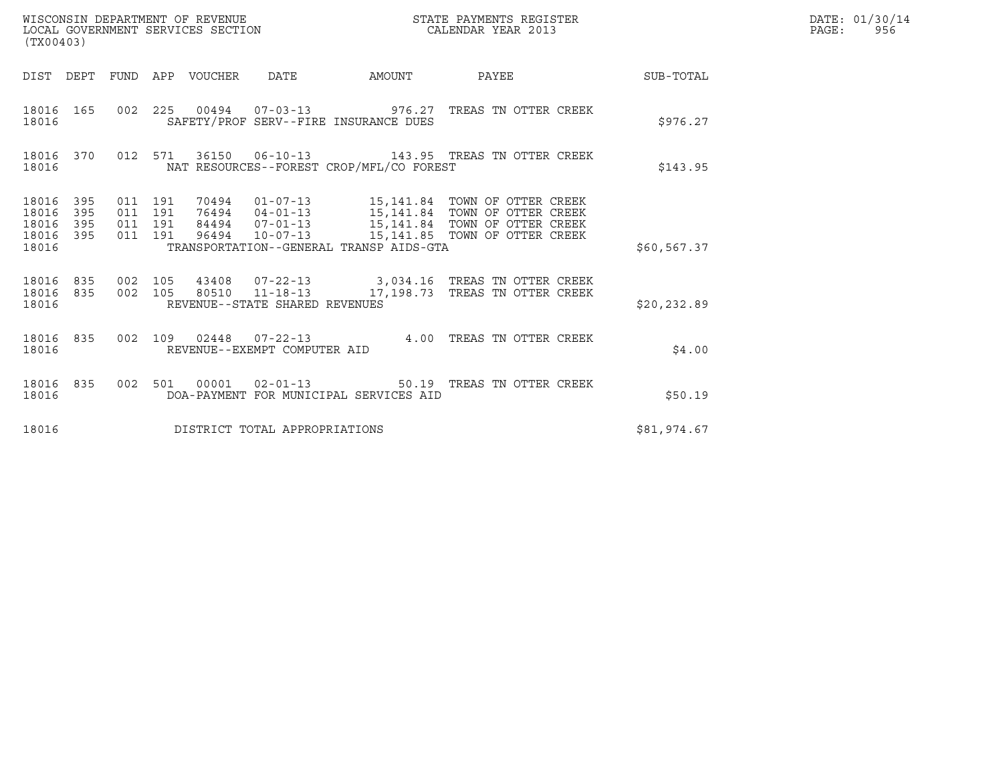| WISCONSIN DEPARTMENT OF REVENUE<br>LOCAL GOVERNMENT SERVICES SECTION<br>(TX00403) |                          |         |                               |                                 |                                |                                          | STATE PAYMENTS REGISTER<br>CALENDAR YEAR 2013                                                                                     |              | DATE: 01/30/14<br>PAGE:<br>956 |
|-----------------------------------------------------------------------------------|--------------------------|---------|-------------------------------|---------------------------------|--------------------------------|------------------------------------------|-----------------------------------------------------------------------------------------------------------------------------------|--------------|--------------------------------|
|                                                                                   |                          |         |                               | DIST DEPT FUND APP VOUCHER DATE |                                | AMOUNT                                   | <b>PAYEE</b>                                                                                                                      | SUB-TOTAL    |                                |
| 18016                                                                             |                          |         |                               |                                 |                                | SAFETY/PROF SERV--FIRE INSURANCE DUES    | 18016  165  002  225  00494  07-03-13  976.27  TREAS TN OTTER CREEK                                                               | \$976.27     |                                |
| 18016                                                                             |                          |         |                               |                                 |                                | NAT RESOURCES--FOREST CROP/MFL/CO FOREST | 18016 370 012 571 36150 06-10-13 143.95 TREAS TN OTTER CREEK                                                                      | \$143.95     |                                |
| 18016<br>18016<br>18016<br>18016<br>18016                                         | 395<br>395<br>395<br>395 | 011 191 | 011 191<br>011 191<br>011 191 |                                 |                                | TRANSPORTATION--GENERAL TRANSP AIDS-GTA  |                                                                                                                                   | \$60, 567.37 |                                |
| 18016                                                                             |                          |         |                               |                                 | REVENUE--STATE SHARED REVENUES |                                          | 18016 835 002 105 43408 07-22-13 3,034.16 TREAS TN OTTER CREEK<br>18016 835 002 105 80510 11-18-13 17,198.73 TREAS TN OTTER CREEK | \$20, 232.89 |                                |
| 18016                                                                             |                          |         |                               |                                 | REVENUE--EXEMPT COMPUTER AID   |                                          | 18016 835 002 109 02448 07-22-13 4.00 TREAS TN OTTER CREEK                                                                        | \$4.00       |                                |
| 18016                                                                             |                          |         |                               |                                 |                                | DOA-PAYMENT FOR MUNICIPAL SERVICES AID   | 18016 835 002 501 00001 02-01-13 50.19 TREAS TN OTTER CREEK                                                                       | \$50.19      |                                |
| 18016                                                                             |                          |         |                               |                                 | DISTRICT TOTAL APPROPRIATIONS  |                                          |                                                                                                                                   | \$81,974.67  |                                |

WISCONSIN DEPARTMENT OF REVENUE<br>LOCAL GOVERNMENT SERVICES SECTION STATE PAYMENTS REGISTER SEGISTER DATE: 01/30/14<br>DOCAL GOVERNMENT SERVICES SECTION STATE SOLLENDAR YEAR 2013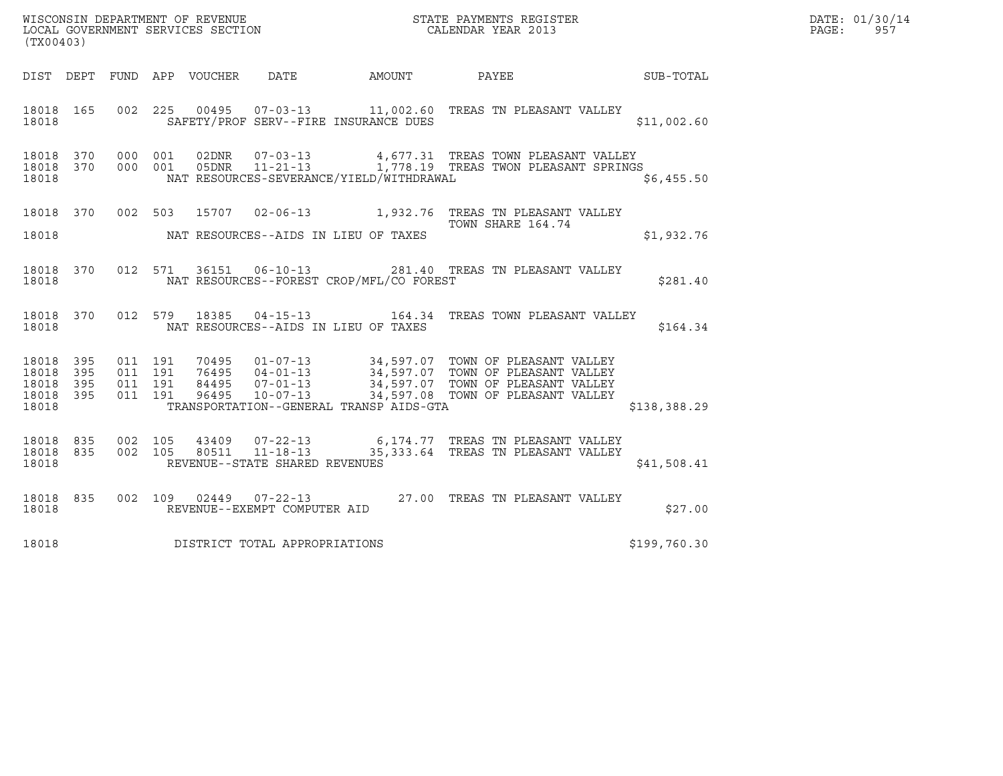|                                                       |     |                               |         |                                 |                                                  |                                          |                                                                                                                                                                                                                          |              | DATE: 01/30/14 |
|-------------------------------------------------------|-----|-------------------------------|---------|---------------------------------|--------------------------------------------------|------------------------------------------|--------------------------------------------------------------------------------------------------------------------------------------------------------------------------------------------------------------------------|--------------|----------------|
| (TX00403)                                             |     |                               |         |                                 |                                                  |                                          |                                                                                                                                                                                                                          |              | PAGE:<br>957   |
|                                                       |     |                               |         | DIST DEPT FUND APP VOUCHER DATE |                                                  | AMOUNT PAYEE                             | <b>SUB-TOTAL</b>                                                                                                                                                                                                         |              |                |
| 18018 165<br>18018                                    |     |                               |         |                                 |                                                  | SAFETY/PROF SERV--FIRE INSURANCE DUES    | 002 225 00495 07-03-13 11,002.60 TREAS TN PLEASANT VALLEY                                                                                                                                                                | \$11,002.60  |                |
| 18018 370<br>18018 370<br>18018                       |     | 000 001                       | 000 001 | 02DNR<br>05DNR                  |                                                  | NAT RESOURCES-SEVERANCE/YIELD/WITHDRAWAL | 07-03-13 4,677.31 TREAS TOWN PLEASANT VALLEY<br>$11 - 21 - 13$ $1,778.19$ TREAS TWON PLEASANT SPRINGS                                                                                                                    | \$6,455.50   |                |
|                                                       |     |                               |         |                                 |                                                  |                                          | 18018 370 002 503 15707 02-06-13 1,932.76 TREAS TN PLEASANT VALLEY<br>TOWN SHARE 164.74                                                                                                                                  |              |                |
| 18018                                                 |     |                               |         |                                 |                                                  | NAT RESOURCES--AIDS IN LIEU OF TAXES     |                                                                                                                                                                                                                          | \$1,932.76   |                |
| 18018 370<br>18018                                    |     |                               |         |                                 |                                                  | NAT RESOURCES--FOREST CROP/MFL/CO FOREST | 012 571 36151 06-10-13 281.40 TREAS TN PLEASANT VALLEY                                                                                                                                                                   | \$281.40     |                |
| 18018 370<br>18018                                    |     |                               |         |                                 |                                                  | NAT RESOURCES--AIDS IN LIEU OF TAXES     | 012 579 18385 04-15-13 164.34 TREAS TOWN PLEASANT VALLEY                                                                                                                                                                 | \$164.34     |                |
| 18018 395<br>18018 395<br>18018<br>18018 395<br>18018 | 395 | 011 191<br>011 191<br>011 191 | 011 191 |                                 |                                                  | TRANSPORTATION--GENERAL TRANSP AIDS-GTA  | 70495  01-07-13  34,597.07  TOWN OF PLEASANT VALLEY<br>76495  04-01-13  34,597.07  TOWN OF PLEASANT VALLEY<br>84495  07-01-13  34,597.07  TOWN OF PLEASANT VALLEY<br>96495  10-07-13  34,597.08  TOWN OF PLEASANT VALLEY | \$138,388.29 |                |
| 18018 835<br>18018 835<br>18018                       |     | 002 105<br>002 105            |         | 80511                           | $11 - 18 - 13$<br>REVENUE--STATE SHARED REVENUES |                                          | 43409  07-22-13   6,174.77  TREAS TN PLEASANT VALLEY<br>35,333.64 TREAS TN PLEASANT VALLEY                                                                                                                               | \$41,508.41  |                |
| 18018 835<br>18018                                    |     |                               |         |                                 | REVENUE--EXEMPT COMPUTER AID                     |                                          | 002 109 02449 07-22-13 27.00 TREAS TN PLEASANT VALLEY                                                                                                                                                                    | \$27.00      |                |
| 18018                                                 |     |                               |         |                                 | DISTRICT TOTAL APPROPRIATIONS                    |                                          |                                                                                                                                                                                                                          | \$199,760.30 |                |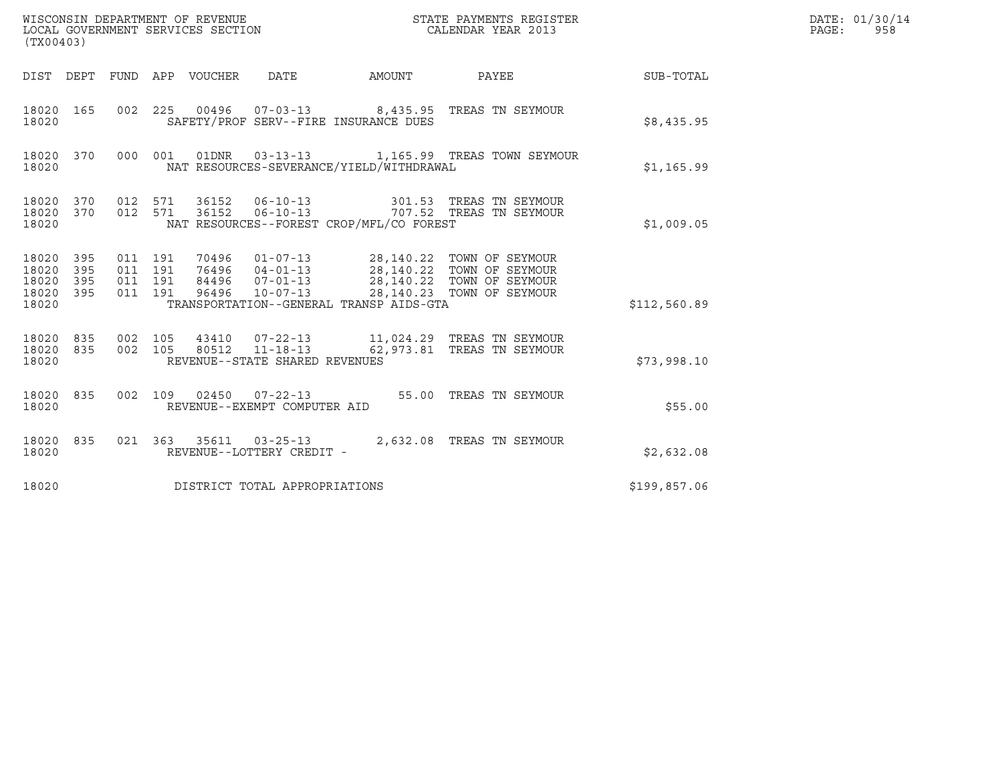| (TX00403)                                         |            |                                          |         |                                 | WISCONSIN DEPARTMENT OF REVENUE<br>LOCAL GOVERNMENT SERVICES SECTION |                                          | STATE PAYMENTS REGISTER<br>CALENDAR YEAR 2013                                                                                                                                            |              | DATE: 01/30/14<br>$\mathtt{PAGE}$ :<br>958 |
|---------------------------------------------------|------------|------------------------------------------|---------|---------------------------------|----------------------------------------------------------------------|------------------------------------------|------------------------------------------------------------------------------------------------------------------------------------------------------------------------------------------|--------------|--------------------------------------------|
|                                                   |            |                                          |         | DIST DEPT FUND APP VOUCHER DATE |                                                                      | AMOUNT PAYEE                             |                                                                                                                                                                                          | SUB-TOTAL    |                                            |
| 18020 165<br>18020                                |            |                                          |         |                                 |                                                                      | SAFETY/PROF SERV--FIRE INSURANCE DUES    | 002 225 00496 07-03-13 8,435.95 TREAS TN SEYMOUR                                                                                                                                         | \$8,435.95   |                                            |
| 18020                                             |            |                                          |         |                                 |                                                                      | NAT RESOURCES-SEVERANCE/YIELD/WITHDRAWAL | 18020 370 000 001 01DNR 03-13-13 1,165.99 TREAS TOWN SEYMOUR                                                                                                                             | \$1,165.99   |                                            |
| 18020 370<br>18020 370<br>18020                   |            | 012 571<br>012 571                       |         | 36152<br>36152                  | $06 - 10 - 13$                                                       | NAT RESOURCES--FOREST CROP/MFL/CO FOREST | 06-10-13 301.53 TREAS TN SEYMOUR<br>707.52 TREAS TN SEYMOUR                                                                                                                              | \$1,009.05   |                                            |
| 18020 395<br>18020<br>18020<br>18020 395<br>18020 | 395<br>395 | 011 191<br>011 191<br>011 191<br>011 191 |         |                                 |                                                                      | TRANSPORTATION--GENERAL TRANSP AIDS-GTA  | 70496  01-07-13  28,140.22  TOWN OF SEYMOUR<br>76496  04-01-13  28,140.22  TOWN OF SEYMOUR<br>84496  07-01-13  28,140.22  TOWN OF SEYMOUR<br>96496  10-07-13  28,140.23  TOWN OF SEYMOUR | \$112,560.89 |                                            |
| 18020 835<br>18020 835<br>18020                   |            | 002 105                                  | 002 105 |                                 | 80512 11-18-13<br>REVENUE--STATE SHARED REVENUES                     |                                          | 62,973.81 TREAS TN SEYMOUR                                                                                                                                                               | \$73,998.10  |                                            |
| 18020 835<br>18020                                |            |                                          |         |                                 | 002 109 02450 07-22-13<br>REVENUE--EXEMPT COMPUTER AID               |                                          | 55.00 TREAS TN SEYMOUR                                                                                                                                                                   | \$55.00      |                                            |
| 18020 835<br>18020                                |            |                                          |         |                                 | REVENUE--LOTTERY CREDIT -                                            |                                          | 021  363  35611  03-25-13  2,632.08  TREAS TN SEYMOUR                                                                                                                                    | \$2,632.08   |                                            |
| 18020                                             |            |                                          |         |                                 | DISTRICT TOTAL APPROPRIATIONS                                        |                                          |                                                                                                                                                                                          | \$199,857.06 |                                            |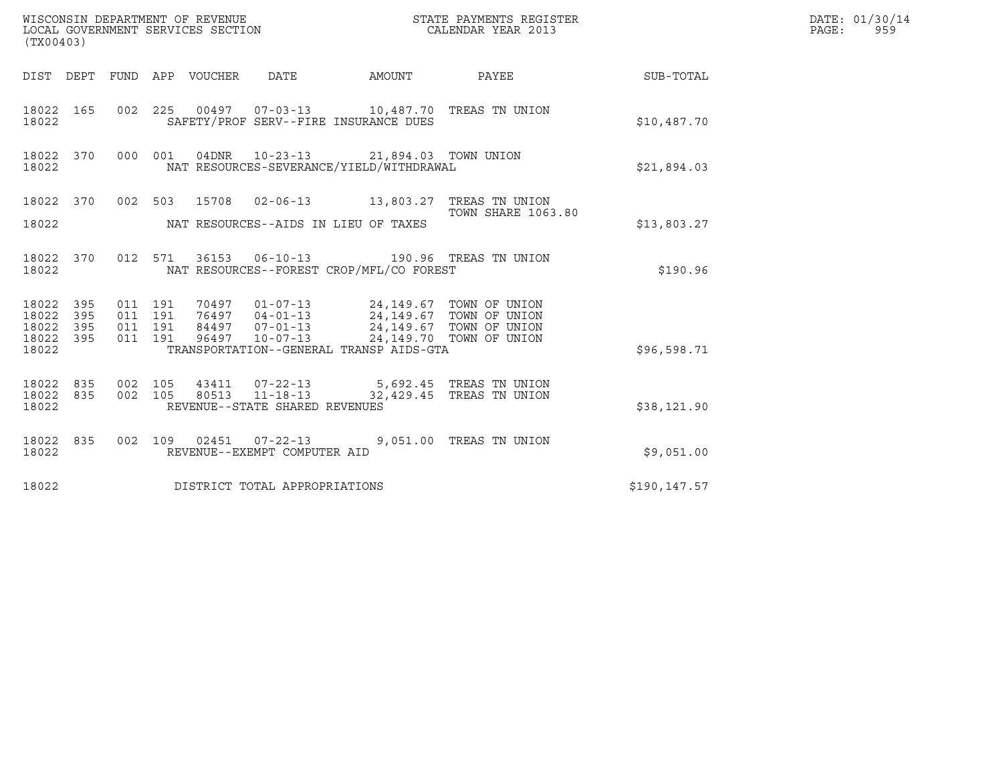| (TX00403)                                             |     |                                          |                                 | WISCONSIN DEPARTMENT OF REVENUE<br>LOCAL GOVERNMENT SERVICES SECTION                                                                                                                             |        | STATE PAYMENTS REGISTER<br>CALENDAR YEAR 2013       |               | DATE: 01/30/14<br>PAGE:<br>959 |
|-------------------------------------------------------|-----|------------------------------------------|---------------------------------|--------------------------------------------------------------------------------------------------------------------------------------------------------------------------------------------------|--------|-----------------------------------------------------|---------------|--------------------------------|
|                                                       |     |                                          | DIST DEPT FUND APP VOUCHER DATE |                                                                                                                                                                                                  | AMOUNT | PAYEE SUB-TOTAL                                     |               |                                |
| 18022 165<br>18022                                    |     |                                          |                                 | 002 225 00497 07-03-13 10,487.70 TREAS TN UNION<br>SAFETY/PROF SERV--FIRE INSURANCE DUES                                                                                                         |        |                                                     | \$10,487.70   |                                |
| 18022 370<br>18022                                    |     | 000 001                                  |                                 | 04DNR 10-23-13 21,894.03 TOWN UNION<br>NAT RESOURCES-SEVERANCE/YIELD/WITHDRAWAL                                                                                                                  |        |                                                     | \$21,894.03   |                                |
| 18022 370<br>18022                                    |     |                                          |                                 | 002 503 15708 02-06-13 13,803.27 TREAS TN UNION<br>NAT RESOURCES--AIDS IN LIEU OF TAXES                                                                                                          |        | <b>TOWN SHARE 1063.80</b>                           | \$13,803.27   |                                |
| 18022 370<br>18022                                    |     |                                          |                                 | 012 571 36153 06-10-13 190.96 TREAS TN UNION<br>NAT RESOURCES--FOREST CROP/MFL/CO FOREST                                                                                                         |        |                                                     | \$190.96      |                                |
| 18022 395<br>18022<br>18022 395<br>18022 395<br>18022 | 395 | 011 191<br>011 191<br>011 191<br>011 191 | 96497                           | 70497  01-07-13  24,149.67  TOWN OF UNION<br>76497  04-01-13  24,149.67  TOWN OF UNION<br>84497  07-01-13  24,149.67  TOWN OF UNION<br>$10 - 07 - 13$<br>TRANSPORTATION--GENERAL TRANSP AIDS-GTA |        | 24,149.70 TOWN OF UNION                             | \$96,598.71   |                                |
| 18022 835<br>18022 835<br>18022                       |     | 002 105<br>002 105                       |                                 | 80513 11-18-13<br>REVENUE--STATE SHARED REVENUES                                                                                                                                                 |        | 5,692.45 TREAS TN UNION<br>32,429.45 TREAS TN UNION | \$38,121.90   |                                |
| 18022 835<br>18022                                    |     |                                          |                                 | 002 109 02451 07-22-13<br>REVENUE--EXEMPT COMPUTER AID                                                                                                                                           |        | 9,051.00 TREAS TN UNION                             | \$9,051.00    |                                |
| 18022                                                 |     |                                          |                                 | DISTRICT TOTAL APPROPRIATIONS                                                                                                                                                                    |        |                                                     | \$190, 147.57 |                                |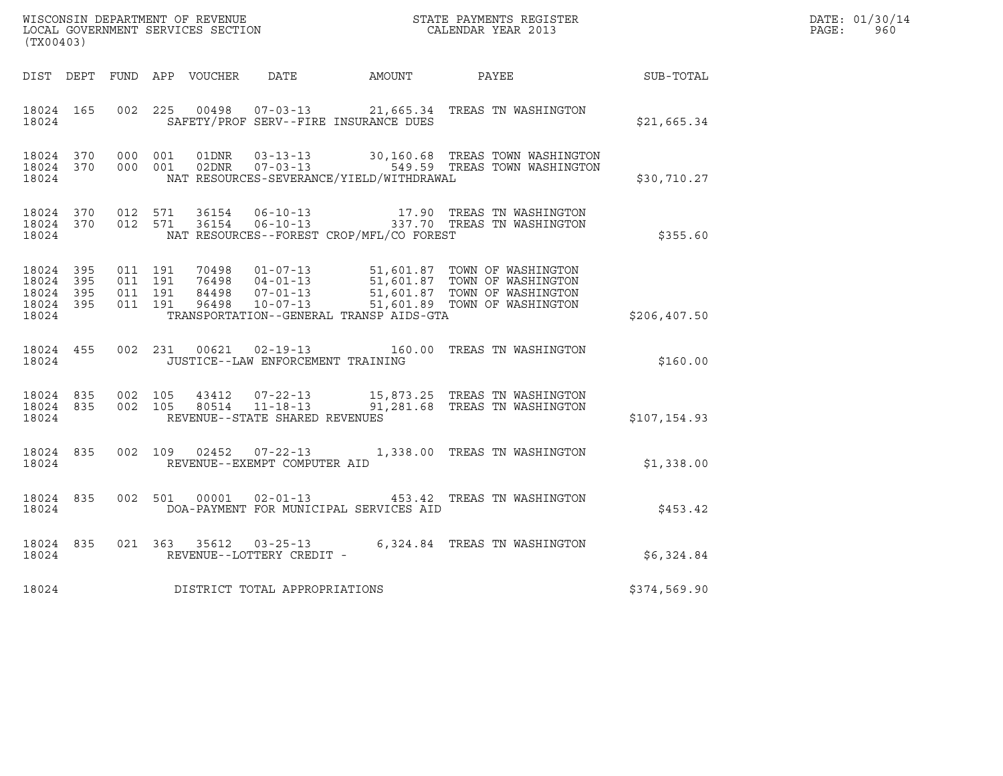| WISCONSIN DEPARTMENT OF REVENUE<br>LOCAL GOVERNMENT SERVICES SECTION CALENDAR YEAR 2013<br>(TX00403) |           |                                                   |         |  |                                         |                                              |                                                                                                                                                                                                                   |              | DATE: 01/30/14<br>PAGE: 960 |
|------------------------------------------------------------------------------------------------------|-----------|---------------------------------------------------|---------|--|-----------------------------------------|----------------------------------------------|-------------------------------------------------------------------------------------------------------------------------------------------------------------------------------------------------------------------|--------------|-----------------------------|
|                                                                                                      |           |                                                   |         |  |                                         | DIST DEPT FUND APP VOUCHER DATE AMOUNT PAYEE |                                                                                                                                                                                                                   | SUB-TOTAL    |                             |
| 18024                                                                                                | 18024 165 |                                                   |         |  |                                         | SAFETY/PROF SERV--FIRE INSURANCE DUES        | 002 225 00498 07-03-13 21,665.34 TREAS TN WASHINGTON                                                                                                                                                              | \$21,665.34  |                             |
| 18024                                                                                                |           |                                                   |         |  |                                         | NAT RESOURCES-SEVERANCE/YIELD/WITHDRAWAL     | 18024 370 000 001 01DNR 03-13-13 30,160.68 TREAS TOWN WASHINGTON 18024 370 000 001 02DNR 07-03-13 549.59 TREAS TOWN WASHINGTON                                                                                    | \$30,710.27  |                             |
| 18024                                                                                                |           |                                                   |         |  |                                         | NAT RESOURCES--FOREST CROP/MFL/CO FOREST     | $\begin{array}{cccccccc} 18024 & 370 & 012 & 571 & 36154 & 06-10-13 & & & 17.90 & \text{TREAS TN WASHINGTON} \\ 18024 & 370 & 012 & 571 & 36154 & 06-10-13 & & & 337.70 & \text{TREAS TN WASHINGTON} \end{array}$ | \$355.60     |                             |
| 18024 395<br>18024                                                                                   | 18024 395 | 18024 395 011 191<br>011 191<br>18024 395 011 191 | 011 191 |  |                                         | TRANSPORTATION--GENERAL TRANSP AIDS-GTA      | 70498  01-07-13  51,601.87  TOWN OF WASHINGTON<br>76498  04-01-13  51,601.87  TOWN OF WASHINGTON<br>84498  07-01-13  51,601.87  TOWN OF WASHINGTON<br>96498  10-07-13  51,601.89  TOWN OF WASHINGTON              | \$206,407.50 |                             |
|                                                                                                      |           |                                                   |         |  | 18024 JUSTICE--LAW ENFORCEMENT TRAINING |                                              | 18024 455 002 231 00621 02-19-13 160.00 TREAS TN WASHINGTON                                                                                                                                                       | \$160.00     |                             |
| 18024                                                                                                | 18024 835 |                                                   |         |  | REVENUE--STATE SHARED REVENUES          |                                              | 18024 835 002 105 43412 07-22-13 15,873.25 TREAS TN WASHINGTON<br>002 105 80514 11-18-13 91,281.68 TREAS TN WASHINGTON                                                                                            | \$107,154.93 |                             |
|                                                                                                      |           |                                                   |         |  | 18024 REVENUE--EXEMPT COMPUTER AID      |                                              | 18024 835 002 109 02452 07-22-13 1,338.00 TREAS TN WASHINGTON                                                                                                                                                     | \$1,338.00   |                             |
| 18024                                                                                                |           |                                                   |         |  |                                         | DOA-PAYMENT FOR MUNICIPAL SERVICES AID       | 18024 835 002 501 00001 02-01-13 453.42 TREAS TN WASHINGTON                                                                                                                                                       | \$453.42     |                             |
| 18024                                                                                                | 18024 835 |                                                   |         |  | REVENUE--LOTTERY CREDIT -               |                                              | 021 363 35612 03-25-13 6,324.84 TREAS TN WASHINGTON                                                                                                                                                               | \$6,324.84   |                             |
| 18024                                                                                                |           |                                                   |         |  | DISTRICT TOTAL APPROPRIATIONS           |                                              |                                                                                                                                                                                                                   | \$374,569.90 |                             |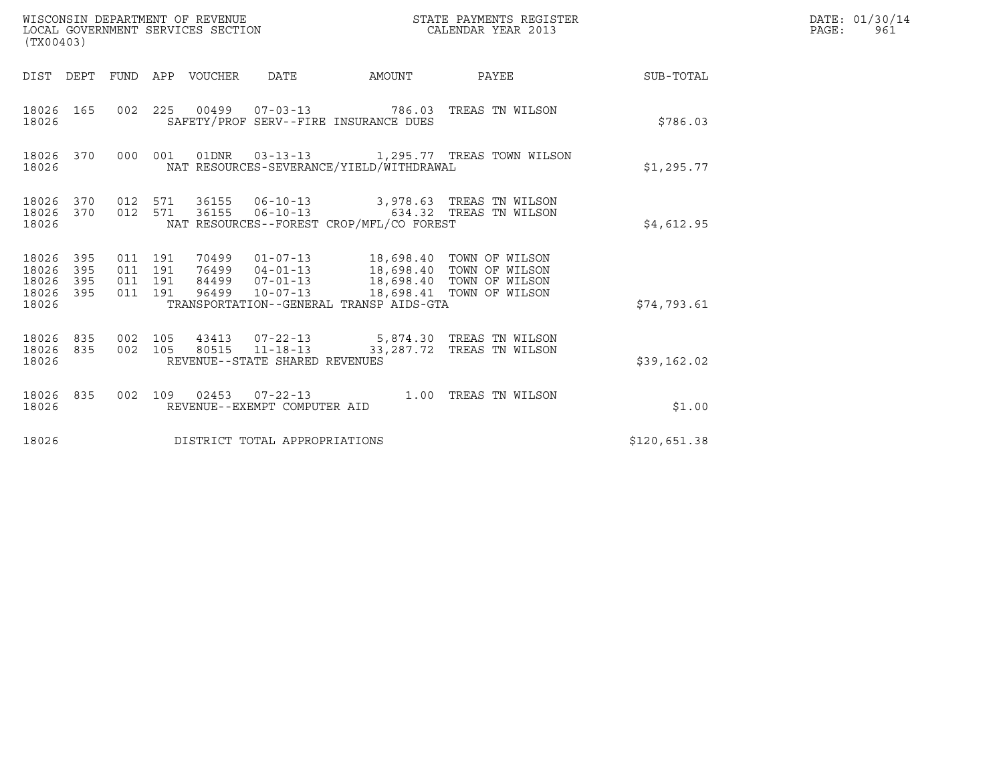| WISCONSIN DEPARTMENT OF REVENUE<br>LOCAL GOVERNMENT SERVICES SECTION<br>(TX00403)                               |                                                                                                                                                                                                                                                       | STATE PAYMENTS REGISTER<br>CALENDAR YEAR 2013 |                  | DATE: 01/30/14<br>PAGE:<br>961 |
|-----------------------------------------------------------------------------------------------------------------|-------------------------------------------------------------------------------------------------------------------------------------------------------------------------------------------------------------------------------------------------------|-----------------------------------------------|------------------|--------------------------------|
| FUND APP VOUCHER DATE<br>DIST DEPT                                                                              | <b>AMOUNT</b>                                                                                                                                                                                                                                         | PAYEE                                         | <b>SUB-TOTAL</b> |                                |
| 18026 165<br>18026                                                                                              | 002  225  00499  07-03-13  786.03  TREAS TN WILSON<br>SAFETY/PROF SERV--FIRE INSURANCE DUES                                                                                                                                                           |                                               | \$786.03         |                                |
| 18026 370<br>18026                                                                                              | 000 001 01DNR 03-13-13 1,295.77 TREAS TOWN WILSON<br>NAT RESOURCES-SEVERANCE/YIELD/WITHDRAWAL                                                                                                                                                         |                                               | \$1,295.77       |                                |
| 18026 370<br>18026 370<br>18026                                                                                 | 012 571 36155 06-10-13 3,978.63 TREAS TN WILSON<br>012 571 36155 06-10-13 634.32 TREAS TN WILSON<br>NAT RESOURCES--FOREST CROP/MFL/CO FOREST                                                                                                          |                                               | \$4,612.95       |                                |
| 18026 395<br>18026<br>011 191<br>395<br>18026<br>395<br>011 191<br>84499<br>18026 395<br>011 191 96499<br>18026 | 011  191  70499  01-07-13  18,698.40  TOWN OF WILSON<br>76499  04-01-13  18,698.40  TOWN OF WILSON<br>07-01-13              18,698.40   TOWN OF WILSON<br>10-07-13              18,698.41   TOWN OF WILSON<br>TRANSPORTATION--GENERAL TRANSP AIDS-GTA |                                               | \$74,793.61      |                                |
| 18026 835<br>18026 835<br>18026                                                                                 | 002 105 43413 07-22-13 5,874.30 TREAS TN WILSON<br>002 105 80515 11-18-13 33,287.72 TREAS TN WILSON<br>REVENUE--STATE SHARED REVENUES                                                                                                                 |                                               | \$39,162.02      |                                |
| 18026 835<br>18026                                                                                              | 002 109 02453 07-22-13 1.00 TREAS TN WILSON<br>REVENUE--EXEMPT COMPUTER AID                                                                                                                                                                           |                                               | \$1.00           |                                |
| 18026<br>DISTRICT TOTAL APPROPRIATIONS                                                                          |                                                                                                                                                                                                                                                       |                                               | \$120,651.38     |                                |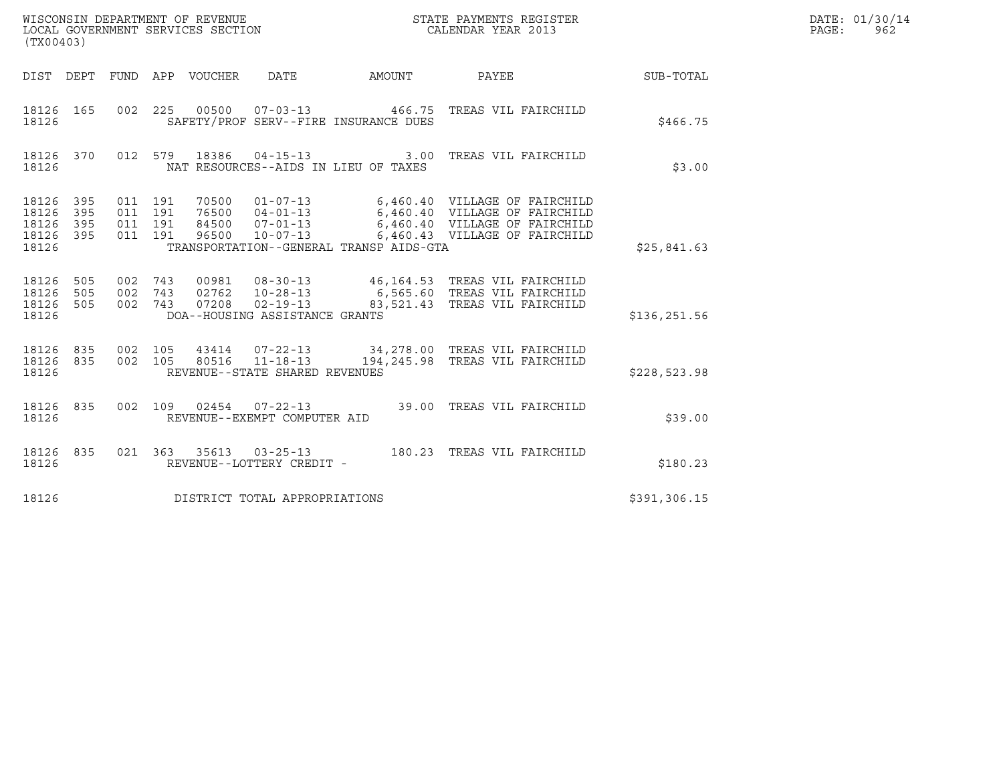| (TX00403)                                                                                                      | WISCONSIN DEPARTMENT OF REVENUE<br>LOCAL GOVERNMENT SERVICES SECTION                                                                                                                                                                       | STATE PAYMENTS REGISTER<br>CALENDAR YEAR 2013 |              | DATE: 01/30/14<br>PAGE:<br>962 |
|----------------------------------------------------------------------------------------------------------------|--------------------------------------------------------------------------------------------------------------------------------------------------------------------------------------------------------------------------------------------|-----------------------------------------------|--------------|--------------------------------|
|                                                                                                                | DIST DEPT FUND APP VOUCHER DATE<br>AMOUNT                                                                                                                                                                                                  | PAYEE                                         | SUB-TOTAL    |                                |
| 18126 165<br>18126                                                                                             | 002  225  00500  07-03-13  466.75  TREAS VIL FAIRCHILD<br>SAFETY/PROF SERV--FIRE INSURANCE DUES                                                                                                                                            |                                               | \$466.75     |                                |
| 18126 370<br>18126                                                                                             | 012 579 18386 04-15-13 3.00 TREAS VIL FAIRCHILD<br>NAT RESOURCES--AIDS IN LIEU OF TAXES                                                                                                                                                    |                                               | \$3.00       |                                |
| 18126 395<br>011 191<br>011 191<br>18126<br>395<br>011 191<br>18126<br>395<br>011 191<br>395<br>18126<br>18126 | 70500  01-07-13  6,460.40  VILLAGE OF FAIRCHILD<br>76500 04-01-13 6,460.40 VILLAGE OF FAIRCHILD<br>84500 07-01-13 6,460.40 VILLAGE OF FAIRCHILD<br>96500 10-07-13 6,460.43 VILLAGE OF FAIRCHILD<br>TRANSPORTATION--GENERAL TRANSP AIDS-GTA |                                               | \$25,841.63  |                                |
| 002 743<br>18126<br>505<br>18126<br>505<br>002 743<br>505<br>002 743<br>18126<br>18126                         | 00981  08-30-13  46,164.53  TREAS  VIL FAIRCHILD<br>02762  10-28-13  6,565.60  TREAS  VIL FAIRCHILD<br>$02 - 19 - 13$<br>07208<br>DOA--HOUSING ASSISTANCE GRANTS                                                                           | 83,521.43 TREAS VIL FAIRCHILD                 | \$136,251.56 |                                |
| 18126 835 002 105<br>002 105<br>835<br>18126<br>18126                                                          | 43414 07-22-13 34, 278.00 TREAS VIL FAIRCHILD<br>$11 - 18 - 13$<br>80516<br>REVENUE--STATE SHARED REVENUES                                                                                                                                 | 194, 245.98 TREAS VIL FAIRCHILD               | \$228,523.98 |                                |
| 18126 835<br>18126                                                                                             | 002  109  02454  07-22-13  39.00 TREAS VIL FAIRCHILD<br>REVENUE--EXEMPT COMPUTER AID                                                                                                                                                       |                                               | \$39.00      |                                |
| 18126 835<br>18126                                                                                             | 021 363 35613 03-25-13 180.23 TREAS VIL FAIRCHILD<br>REVENUE--LOTTERY CREDIT -                                                                                                                                                             |                                               | \$180.23     |                                |
| 18126                                                                                                          | DISTRICT TOTAL APPROPRIATIONS                                                                                                                                                                                                              |                                               | \$391,306.15 |                                |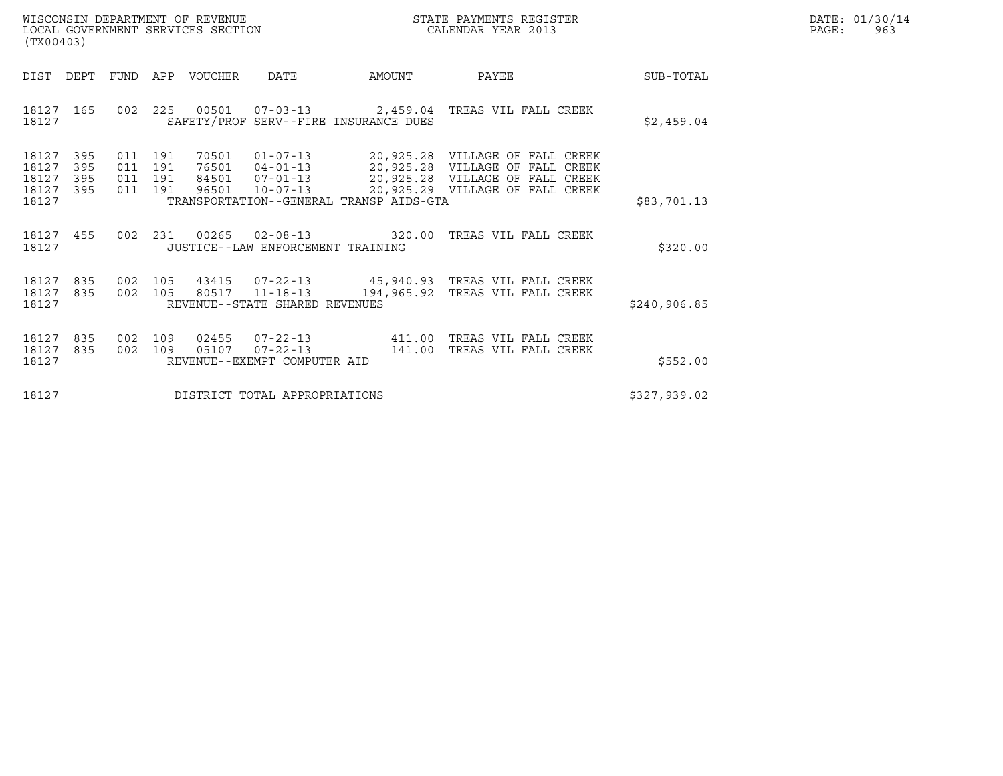| WISCONSIN DEPARTMENT OF REVENUE   | STATE PAYMENTS REGISTER | DATE: 01/30/14 |
|-----------------------------------|-------------------------|----------------|
| LOCAL GOVERNMENT SERVICES SECTION | CALENDAR YEAR 2013      | 963<br>PAGE :  |

| WISCONSIN DEPARTMENT OF REVENUE<br>LOCAL GOVERNMENT SERVICES SECTION<br>(TX00403)                                       | STATE PAYMENTS REGISTER<br>CALENDAR YEAR 2013                                                                                                                                 |                                                                                                       |              | DATE: 01/30/14<br>PAGE:<br>963 |
|-------------------------------------------------------------------------------------------------------------------------|-------------------------------------------------------------------------------------------------------------------------------------------------------------------------------|-------------------------------------------------------------------------------------------------------|--------------|--------------------------------|
| DIST<br>DEPT<br>FUND                                                                                                    | APP VOUCHER<br>DATE<br>AMOUNT                                                                                                                                                 | PAYEE                                                                                                 | SUB-TOTAL    |                                |
| 18127 165<br>18127                                                                                                      | 002  225  00501  07-03-13  2,459.04  TREAS VIL FALL CREEK<br>SAFETY/PROF SERV--FIRE INSURANCE DUES                                                                            |                                                                                                       | \$2,459.04   |                                |
| 18127<br>395<br>011 191<br>18127<br>395<br>191<br>011<br>18127<br>395<br>191<br>011<br>18127<br>395<br>011 191<br>18127 | 70501<br>01-07-13 20,925.28 VILLAGE OF FALL CREEK<br>76501<br>$04 - 01 - 13$<br>84501<br>$07 - 01 - 13$<br>96501<br>$10 - 07 - 13$<br>TRANSPORTATION--GENERAL TRANSP AIDS-GTA | 20,925.28 VILLAGE OF FALL CREEK<br>20,925.28 VILLAGE OF FALL CREEK<br>20,925.29 VILLAGE OF FALL CREEK | \$83,701.13  |                                |
| 18127 455<br>18127                                                                                                      | 002 231 00265 02-08-13 320.00<br>JUSTICE--LAW ENFORCEMENT TRAINING                                                                                                            | TREAS VIL FALL CREEK                                                                                  | \$320.00     |                                |
| 18127<br>835<br>002 105<br>18127 835<br>18127                                                                           | 07-22-13 45,940.93 TREAS VIL FALL CREEK<br>43415<br>002 105 80517 11-18-13 194,965.92<br>REVENUE--STATE SHARED REVENUES                                                       | TREAS VIL FALL CREEK                                                                                  | \$240,906.85 |                                |
| 18127<br>835<br>109<br>002<br>18127<br>835<br>002<br>109<br>18127                                                       | $07 - 22 - 13$ 411.00<br>02455<br>$07 - 22 - 13$ 141.00<br>05107<br>REVENUE--EXEMPT COMPUTER AID                                                                              | TREAS VIL FALL CREEK<br>TREAS VIL FALL CREEK                                                          | \$552.00     |                                |
| 18127                                                                                                                   | DISTRICT TOTAL APPROPRIATIONS                                                                                                                                                 |                                                                                                       | \$327,939.02 |                                |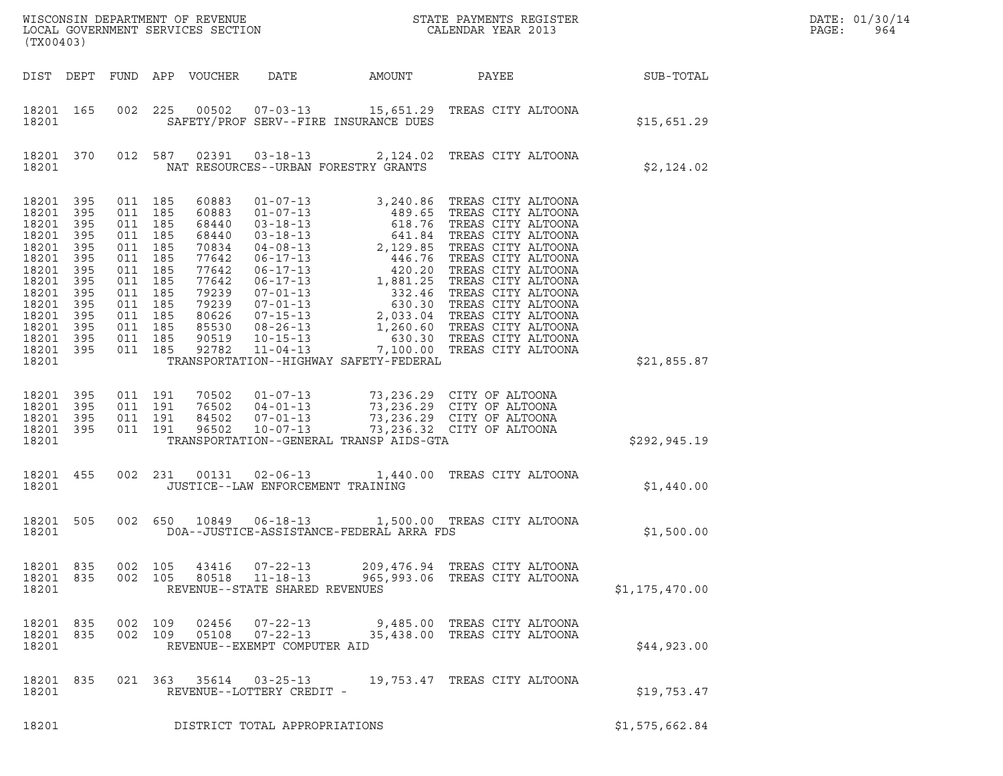| (TX00403)                                                                                                                                   |                                                                                  |                                                                                                                                                        |                    | LOCAL GOVERNMENT SERVICES SECTION                                                                                          |                                                                  | ${\tt WISCONSIN} \begin{tabular}{l} DEPARTMENT OF REVIEW \\ LOCAL GOVERIMENT S ERVICES SECTION \\ \end{tabular}$                                                                                |                                                                |                 | DATE: 01/30/14<br>PAGE:<br>964 |
|---------------------------------------------------------------------------------------------------------------------------------------------|----------------------------------------------------------------------------------|--------------------------------------------------------------------------------------------------------------------------------------------------------|--------------------|----------------------------------------------------------------------------------------------------------------------------|------------------------------------------------------------------|-------------------------------------------------------------------------------------------------------------------------------------------------------------------------------------------------|----------------------------------------------------------------|-----------------|--------------------------------|
|                                                                                                                                             |                                                                                  |                                                                                                                                                        |                    | DIST DEPT FUND APP VOUCHER                                                                                                 | DATE                                                             | AMOUNT                                                                                                                                                                                          |                                                                | PAYEE SUB-TOTAL |                                |
| 18201 165<br>18201                                                                                                                          |                                                                                  | 002 225                                                                                                                                                |                    |                                                                                                                            |                                                                  | 00502  07-03-13  15,651.29  TREAS CITY ALTOONA<br>SAFETY/PROF SERV--FIRE INSURANCE DUES                                                                                                         |                                                                | \$15,651.29     |                                |
| 18201 370<br>18201                                                                                                                          |                                                                                  |                                                                                                                                                        | 012 587            |                                                                                                                            |                                                                  | 02391  03-18-13  2,124.02  TREAS CITY ALTOONA<br>NAT RESOURCES--URBAN FORESTRY GRANTS                                                                                                           |                                                                | \$2,124.02      |                                |
| 18201 395<br>18201<br>18201<br>18201<br>18201<br>18201<br>18201<br>18201<br>18201<br>18201<br>18201<br>18201<br>18201<br>18201 395<br>18201 | 395<br>395<br>395<br>395<br>395<br>395<br>395<br>395<br>395<br>395<br>395<br>395 | 011 185<br>011 185<br>011 185<br>011 185<br>011 185<br>011 185<br>011 185<br>011 185<br>011 185<br>011 185<br>011 185<br>011 185<br>011 185<br>011 185 |                    | 60883<br>60883<br>68440<br>68440<br>70834<br>77642<br>77642<br>77642<br>79239<br>79239<br>80626<br>85530<br>90519<br>92782 |                                                                  | TRANSPORTATION--HIGHWAY SAFETY-FEDERAL                                                                                                                                                          |                                                                | \$21,855.87     |                                |
| 18201<br>18201<br>18201<br>18201<br>18201                                                                                                   | 395<br>395<br>395<br>395                                                         | 011 191<br>011 191<br>011 191<br>011 191                                                                                                               |                    | 70502<br>76502<br>84502<br>96502                                                                                           |                                                                  | 01-07-13 73,236.29 CITY OF ALTOONA<br>04-01-13 73,236.29 CITY OF ALTOONA<br>07-01-13 73,236.29 CITY OF ALTOONA<br>10-07-13 73,236.32 CITY OF ALTOONA<br>TRANSPORTATION--GENERAL TRANSP AIDS-GTA |                                                                | \$292,945.19    |                                |
| 18201 455<br>18201                                                                                                                          |                                                                                  |                                                                                                                                                        |                    |                                                                                                                            | JUSTICE--LAW ENFORCEMENT TRAINING                                | 002 231 00131 02-06-13 1,440.00 TREAS CITY ALTOONA                                                                                                                                              |                                                                | \$1,440.00      |                                |
| 18201 505<br>18201                                                                                                                          |                                                                                  |                                                                                                                                                        |                    |                                                                                                                            |                                                                  | 002 650 10849 06-18-13 1,500.00 TREAS CITY ALTOONA<br>DOA--JUSTICE-ASSISTANCE-FEDERAL ARRA FDS                                                                                                  |                                                                | \$1,500.00      |                                |
| 18201 835<br>18201 835<br>18201                                                                                                             |                                                                                  |                                                                                                                                                        | 002 105<br>002 105 | 43416<br>80518                                                                                                             | 07-22-13<br>$11 - 18 - 13$<br>REVENUE--STATE SHARED REVENUES     |                                                                                                                                                                                                 | 209,476.94 TREAS CITY ALTOONA<br>965,993.06 TREAS CITY ALTOONA | \$1,175,470.00  |                                |
| 18201 835<br>18201 835<br>18201                                                                                                             |                                                                                  | 002 109                                                                                                                                                | 002 109            | 02456<br>05108                                                                                                             | $07 - 22 - 13$<br>$07 - 22 - 13$<br>REVENUE--EXEMPT COMPUTER AID |                                                                                                                                                                                                 | 9,485.00 TREAS CITY ALTOONA<br>35,438.00 TREAS CITY ALTOONA    | \$44,923.00     |                                |
| 18201 835<br>18201                                                                                                                          |                                                                                  |                                                                                                                                                        | 021 363            | 35614                                                                                                                      | $03 - 25 - 13$<br>REVENUE--LOTTERY CREDIT -                      |                                                                                                                                                                                                 | 19,753.47 TREAS CITY ALTOONA                                   | \$19,753.47     |                                |
| 18201                                                                                                                                       |                                                                                  |                                                                                                                                                        |                    |                                                                                                                            | DISTRICT TOTAL APPROPRIATIONS                                    |                                                                                                                                                                                                 |                                                                | \$1,575,662.84  |                                |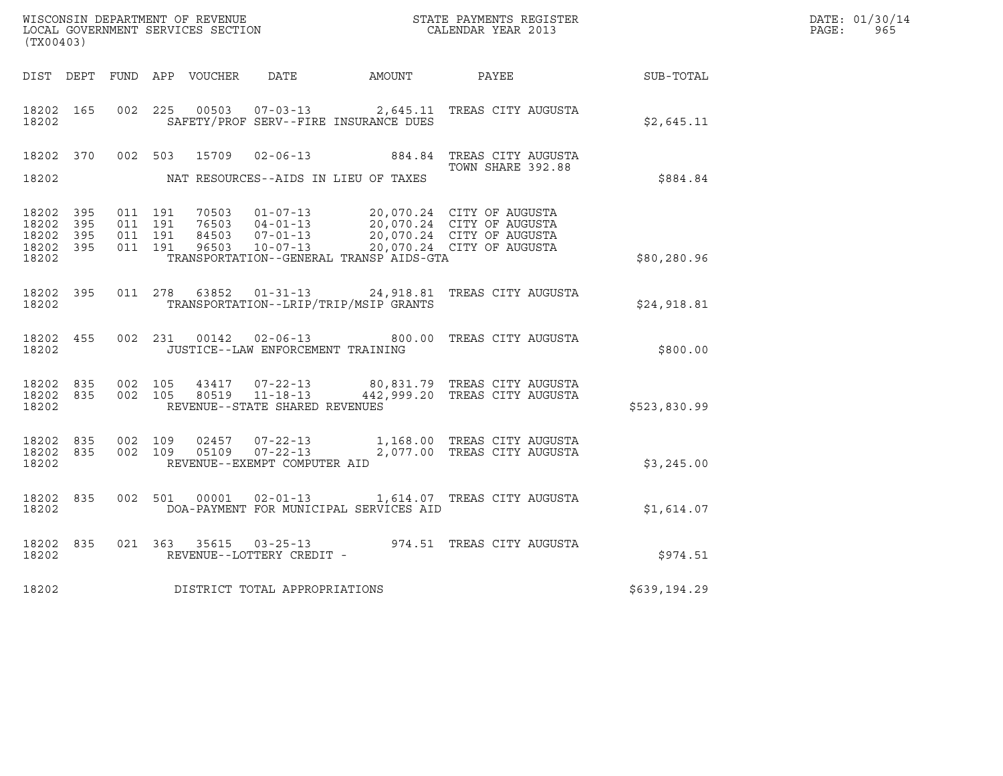| WISCONSIN DEPARTMENT OF REVENUE   | STATE PAYMENTS REGISTER | DATE: 01/30/14 |
|-----------------------------------|-------------------------|----------------|
| LOCAL GOVERNMENT SERVICES SECTION | CALENDAR YEAR 2013      | 965<br>PAGE :  |

| (TX00403)                                |                        |                                          |               |                                                  |                                         | $\tt WISCONSIM DEPARTMENT OF REVENUE$ $\tt WISCONSIM EN THE BAYMENTS REGISTERLOCAL GOVERNMENT SERVICES SECTION CALENDAR YEAR 2013$                                                       |              | DATE: 01/30/14<br>PAGE:<br>965 |
|------------------------------------------|------------------------|------------------------------------------|---------------|--------------------------------------------------|-----------------------------------------|------------------------------------------------------------------------------------------------------------------------------------------------------------------------------------------|--------------|--------------------------------|
|                                          |                        |                                          |               |                                                  |                                         | PAYEE                                                                                                                                                                                    | SUB-TOTAL    |                                |
| 18202 165<br>18202                       |                        |                                          |               |                                                  | SAFETY/PROF SERV--FIRE INSURANCE DUES   | 002 225 00503 07-03-13 2,645.11 TREAS CITY AUGUSTA                                                                                                                                       | \$2,645.11   |                                |
|                                          |                        |                                          |               |                                                  |                                         | 18202 370 002 503 15709 02-06-13 884.84 TREAS CITY AUGUSTA<br>TOWN SHARE 392.88                                                                                                          |              |                                |
| 18202                                    |                        |                                          |               |                                                  | NAT RESOURCES--AIDS IN LIEU OF TAXES    |                                                                                                                                                                                          | \$884.84     |                                |
| 18202 395<br>18202<br>18202<br>18202 395 | 395<br>395             | 011 191<br>011 191<br>011 191<br>011 191 |               |                                                  |                                         | 70503  01-07-13  20,070.24  CITY OF AUGUSTA<br>76503  04-01-13  20,070.24  CITY OF AUGUSTA<br>84503  07-01-13  20,070.24  CITY OF AUGUSTA<br>96503  10-07-13  20,070.24  CITY OF AUGUSTA |              |                                |
| 18202                                    |                        |                                          |               |                                                  | TRANSPORTATION--GENERAL TRANSP AIDS-GTA |                                                                                                                                                                                          | \$80,280.96  |                                |
| 18202                                    | 18202 395              |                                          |               |                                                  | TRANSPORTATION--LRIP/TRIP/MSIP GRANTS   | 011  278  63852  01-31-13  24,918.81  TREAS CITY AUGUSTA                                                                                                                                 | \$24,918.81  |                                |
| 18202                                    | 18202 455              |                                          |               | JUSTICE--LAW ENFORCEMENT TRAINING                |                                         | 002 231 00142 02-06-13 800.00 TREAS CITY AUGUSTA                                                                                                                                         | \$800.00     |                                |
| 18202 835<br>18202                       | 18202 835              | 002 105<br>002 105                       | 43417         | $07 - 22 - 13$<br>REVENUE--STATE SHARED REVENUES |                                         | 80,831.79 TREAS CITY AUGUSTA<br>80519  11-18-13  442,999.20 TREAS CITY AUGUSTA                                                                                                           | \$523,830.99 |                                |
| 18202                                    | 18202 835<br>18202 835 | 002 109<br>002 109                       |               | REVENUE--EXEMPT COMPUTER AID                     |                                         | 02457  07-22-13   1,168.00   TREAS CITY AUGUSTA<br>05109  07-22-13   2,077.00   TREAS CITY AUGUSTA                                                                                       | \$3,245.00   |                                |
| 18202 835<br>18202                       |                        |                                          | 002 501 00001 |                                                  | DOA-PAYMENT FOR MUNICIPAL SERVICES AID  | 02-01-13 1,614.07 TREAS CITY AUGUSTA                                                                                                                                                     | \$1,614.07   |                                |
| 18202                                    | 18202 835              |                                          |               | REVENUE--LOTTERY CREDIT -                        |                                         | 021 363 35615 03-25-13 974.51 TREAS CITY AUGUSTA                                                                                                                                         | \$974.51     |                                |
| 18202                                    |                        |                                          |               | DISTRICT TOTAL APPROPRIATIONS                    |                                         |                                                                                                                                                                                          | \$639,194.29 |                                |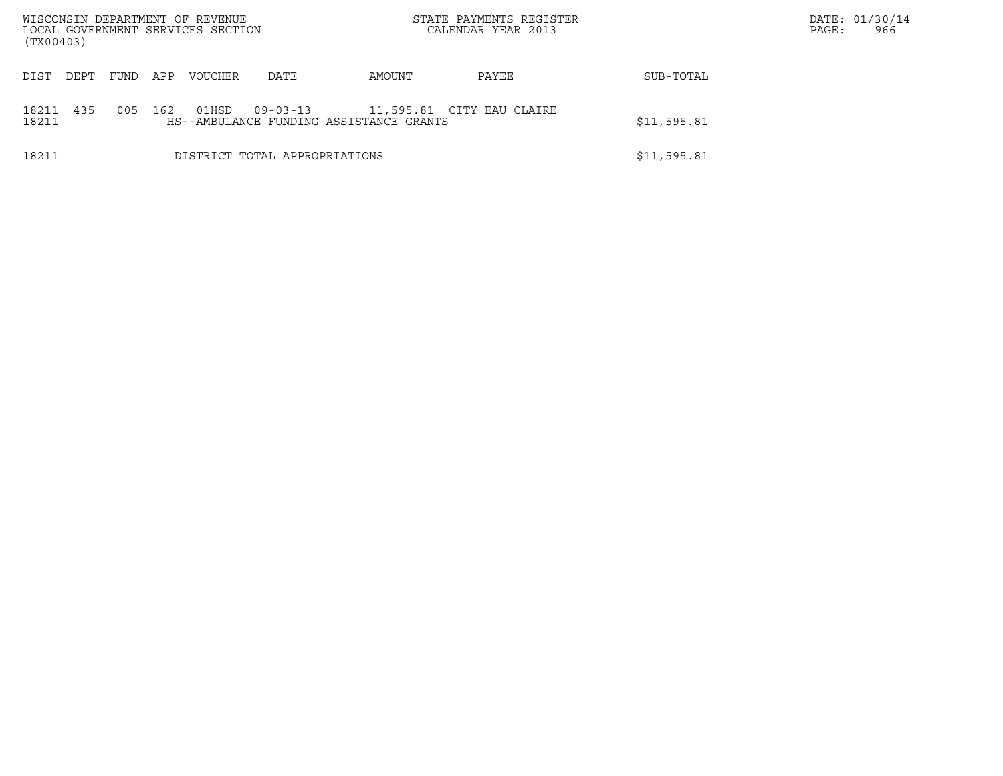|                | WISCONSIN DEPARTMENT OF REVENUE<br>LOCAL GOVERNMENT SERVICES SECTION<br>(TX00403) |      |     |                |                                                           |                           | STATE PAYMENTS REGISTER<br>CALENDAR YEAR 2013 |             | PAGE: | DATE: 01/30/14<br>966 |
|----------------|-----------------------------------------------------------------------------------|------|-----|----------------|-----------------------------------------------------------|---------------------------|-----------------------------------------------|-------------|-------|-----------------------|
| DIST           | DEPT                                                                              | FUND | APP | <b>VOUCHER</b> | DATE                                                      | AMOUNT                    | PAYEE                                         | SUB-TOTAL   |       |                       |
| 18211<br>18211 | 435                                                                               | 005  | 162 | 01HSD          | $09 - 03 - 13$<br>HS--AMBULANCE FUNDING ASSISTANCE GRANTS | 11,595.81 CITY EAU CLAIRE |                                               | \$11,595.81 |       |                       |
| 18211          |                                                                                   |      |     |                | DISTRICT TOTAL APPROPRIATIONS                             |                           |                                               | \$11,595.81 |       |                       |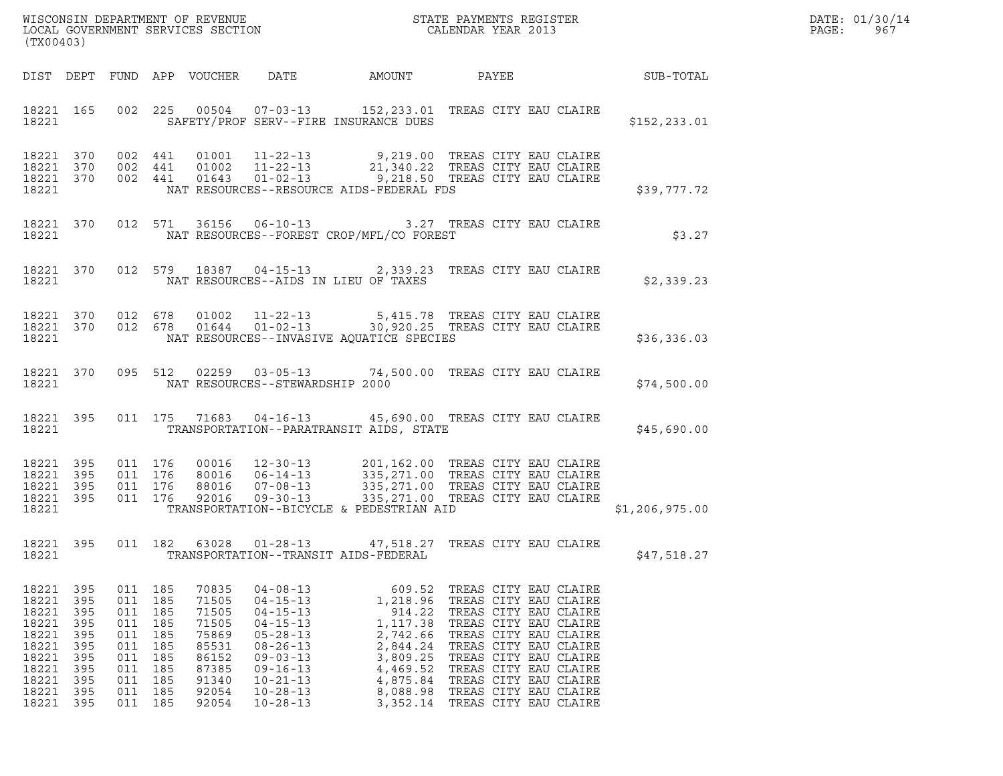|       | DATE: 01/30/14 |
|-------|----------------|
| PAGE: | 967            |

| WISCONSIN DEPARTMENT OF REVENUE<br>LOCAL GOVERNMENT SERVICES SECTION<br>CALENDAR YEAR 2013<br>(TX00403)     |                                                          |  |                                                                                                                       |                                                                                                 |                                                                                                                                                                                                    |                                                                                                                                                                                                                                                                                     |                                                                                                                                                                                                                                                                                                                                     |                | DATE: 01/30/14<br>$\mathtt{PAGE}$ :<br>967 |
|-------------------------------------------------------------------------------------------------------------|----------------------------------------------------------|--|-----------------------------------------------------------------------------------------------------------------------|-------------------------------------------------------------------------------------------------|----------------------------------------------------------------------------------------------------------------------------------------------------------------------------------------------------|-------------------------------------------------------------------------------------------------------------------------------------------------------------------------------------------------------------------------------------------------------------------------------------|-------------------------------------------------------------------------------------------------------------------------------------------------------------------------------------------------------------------------------------------------------------------------------------------------------------------------------------|----------------|--------------------------------------------|
|                                                                                                             |                                                          |  |                                                                                                                       |                                                                                                 |                                                                                                                                                                                                    | DIST DEPT FUND APP VOUCHER DATE AMOUNT PAYEE THE SUB-TOTAL                                                                                                                                                                                                                          |                                                                                                                                                                                                                                                                                                                                     |                |                                            |
| 18221 000                                                                                                   |                                                          |  |                                                                                                                       |                                                                                                 |                                                                                                                                                                                                    | 18221 165 002 225 00504 07-03-13 152,233.01 TREAS CITY EAU CLAIRE<br>SAFETY/PROF SERV--FIRE INSURANCE DUES                                                                                                                                                                          |                                                                                                                                                                                                                                                                                                                                     | \$152, 233.01  |                                            |
| 18221 370<br>18221 370<br>18221 370<br>18221                                                                |                                                          |  |                                                                                                                       |                                                                                                 |                                                                                                                                                                                                    | 002 441 01001 11-22-13 9,219.00 TREAS CITY EAU CLAIRE<br>002 441 01002 11-22-13 21,340.22 TREAS CITY EAU CLAIRE<br>002 441 01643 01-02-13 9,218.50 TREAS CITY EAU CLAIRE<br>NAT RESOURCES--RESOURCE AIDS-FEDERAL FDS                                                                |                                                                                                                                                                                                                                                                                                                                     | \$39,777.72    |                                            |
|                                                                                                             |                                                          |  |                                                                                                                       |                                                                                                 |                                                                                                                                                                                                    | 18221 370 012 571 36156 06-10-13 3.27 TREAS CITY EAU CLAIRE<br>18221 NAT RESOURCES--FOREST CROP/MFL/CO FOREST                                                                                                                                                                       |                                                                                                                                                                                                                                                                                                                                     | \$3.27         |                                            |
|                                                                                                             |                                                          |  |                                                                                                                       |                                                                                                 |                                                                                                                                                                                                    | 18221 370 012 579 18387 04-15-13 2,339.23 TREAS CITY EAU CLAIRE<br>18221 NAT RESOURCES--AIDS IN LIEU OF TAXES                                                                                                                                                                       |                                                                                                                                                                                                                                                                                                                                     | \$2,339.23     |                                            |
| 18221                                                                                                       |                                                          |  |                                                                                                                       |                                                                                                 |                                                                                                                                                                                                    | $18221 370 012 678 01002 11-22-13 5,415.78 TREAS CITY EAU CLAIRE18221 370 012 678 01644 01-02-13 30,920.25 TREAS CITY EAU CLAIRE$<br>NAT RESOURCES--INVASIVE AQUATICE SPECIES                                                                                                       |                                                                                                                                                                                                                                                                                                                                     | \$36,336.03    |                                            |
| 18221                                                                                                       |                                                          |  |                                                                                                                       |                                                                                                 | NAT RESOURCES--STEWARDSHIP 2000                                                                                                                                                                    | 18221 370 095 512 02259 03-05-13 74,500.00 TREAS CITY EAU CLAIRE                                                                                                                                                                                                                    |                                                                                                                                                                                                                                                                                                                                     | \$74,500.00    |                                            |
|                                                                                                             |                                                          |  |                                                                                                                       |                                                                                                 |                                                                                                                                                                                                    | 18221 395 011 175 71683 04-16-13 45,690.00 TREAS CITY EAU CLAIRE<br>18221 TRANSPORTATION--PARATRANSIT AIDS, STATE                                                                                                                                                                   |                                                                                                                                                                                                                                                                                                                                     | \$45,690.00    |                                            |
| 18221 395<br>18221 395<br>18221 395<br>18221 395<br>18221                                                   |                                                          |  |                                                                                                                       |                                                                                                 |                                                                                                                                                                                                    | 011 176 00016 12-30-13 201,162.00 TREAS CITY EAU CLAIRE<br>011 176 80016 06-14-13 335,271.00 TREAS CITY EAU CLAIRE<br>011 176 92016 07-08-13 335,271.00 TREAS CITY EAU CLAIRE<br>011 176 92016 09-30-13 335,271.00 TREAS CITY EAU CLAIR<br>TRANSPORTATION--BICYCLE & PEDESTRIAN AID |                                                                                                                                                                                                                                                                                                                                     | \$1,206,975.00 |                                            |
| 18221                                                                                                       |                                                          |  |                                                                                                                       |                                                                                                 |                                                                                                                                                                                                    | 18221 395 011 182 63028 01-28-13 47,518.27 TREAS CITY EAU CLAIRE<br>TRANSPORTATION--TRANSIT AIDS-FEDERAL                                                                                                                                                                            |                                                                                                                                                                                                                                                                                                                                     | \$47,518.27    |                                            |
| 18221 395<br>18221<br>18221<br>18221<br>18221<br>18221<br>18221<br>18221<br>18221 395<br>18221<br>18221 395 | 395<br>395<br>395<br>- 395<br>395<br>395<br>395<br>- 395 |  | 011 185<br>011 185<br>011 185<br>011 185<br>011 185<br>011 185<br>011 185<br>011 185<br>011 185<br>011 185<br>011 185 | 70835<br>71505<br>71505<br>71505<br>75869<br>85531<br>86152<br>87385<br>91340<br>92054<br>92054 | $04 - 08 - 13$<br>$04 - 15 - 13$<br>$04 - 15 - 13$<br>$04 - 15 - 13$<br>$05 - 28 - 13$<br>$08 - 26 - 13$<br>$09 - 03 - 13$<br>$09 - 16 - 13$<br>$10 - 21 - 13$<br>$10 - 28 - 13$<br>$10 - 28 - 13$ | 1,218.96<br>914.22<br>1,117.38<br>2,844.24<br>4,469.52                                                                                                                                                                                                                              | 609.52 TREAS CITY EAU CLAIRE<br>TREAS CITY EAU CLAIRE<br>TREAS CITY EAU CLAIRE<br>TREAS CITY EAU CLAIRE<br>2,742.66 TREAS CITY EAU CLAIRE<br>TREAS CITY EAU CLAIRE<br>3,809.25 TREAS CITY EAU CLAIRE<br>TREAS CITY EAU CLAIRE<br>4,875.84 TREAS CITY EAU CLAIRE<br>8,088.98 TREAS CITY EAU CLAIRE<br>3,352.14 TREAS CITY EAU CLAIRE |                |                                            |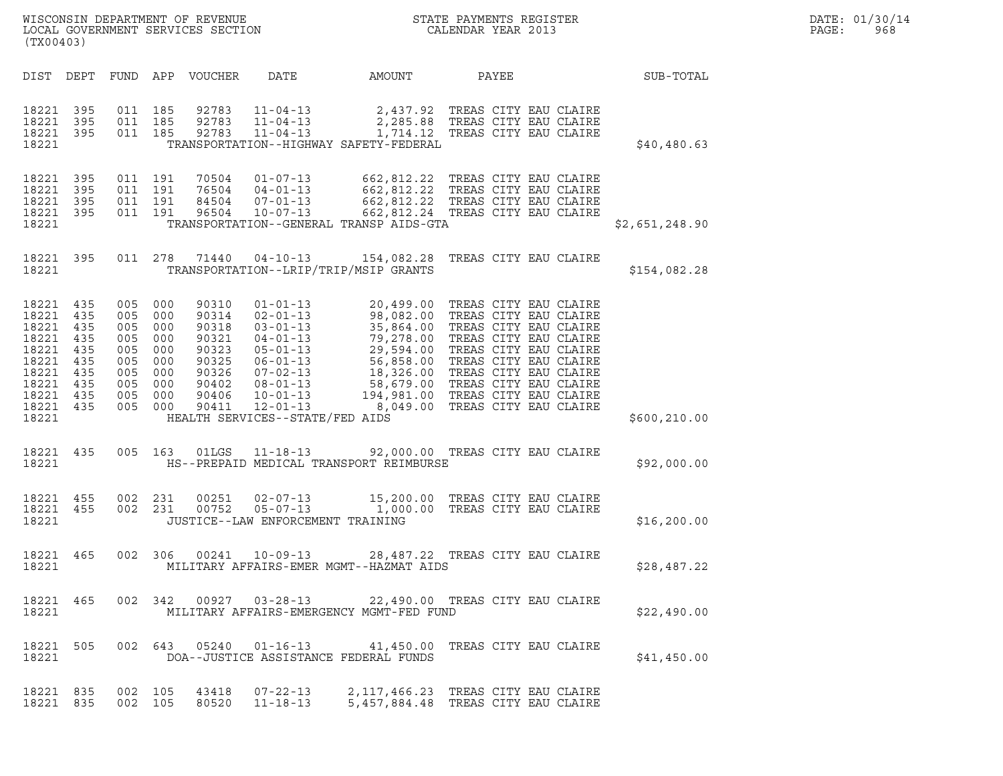| ${\tt WISCO} {\tt NSM} {\tt NEDAR} {\tt TMB} {\tt NFWENT} {\tt NFWENT} {\tt NFWENT} {\tt NFWENT} {\tt NFWENT} {\tt NFWENT} {\tt NFWENT} {\tt NFWENT} {\tt NFWENT} {\tt NFWENT} {\tt NFWENT} {\tt NFWENT} {\tt NFWENT} {\tt NFWENT} {\tt NFWENT} {\tt NFWENT} {\tt NFWENT} {\tt NFWENT} {\tt NFWENT} {\tt NFWENT} {\tt NFWENT} {\tt NFWENT} {\tt NFWENT} {\tt NFWENT} {\tt NFWENT} {\tt NFWENT} {\tt NFWENT} {\tt NFWENT} {\tt NFWENT} {\tt NFWENT} {\tt NFWENT} {\tt NFWENT} {\tt NFWENT} {\$<br>LOCAL GOVERNMENT SERVICES SECTION<br>(TX00403) |                                                      |                                                                                            |                          |                                                                                        |                                                                     |                                          |                                                                                                                                                                                                                                                                                                                          |                  | DATE: 01/30/14<br>PAGE:<br>968 |
|-------------------------------------------------------------------------------------------------------------------------------------------------------------------------------------------------------------------------------------------------------------------------------------------------------------------------------------------------------------------------------------------------------------------------------------------------------------------------------------------------------------------------------------------------|------------------------------------------------------|--------------------------------------------------------------------------------------------|--------------------------|----------------------------------------------------------------------------------------|---------------------------------------------------------------------|------------------------------------------|--------------------------------------------------------------------------------------------------------------------------------------------------------------------------------------------------------------------------------------------------------------------------------------------------------------------------|------------------|--------------------------------|
|                                                                                                                                                                                                                                                                                                                                                                                                                                                                                                                                                 |                                                      |                                                                                            |                          | DIST DEPT FUND APP VOUCHER                                                             | DATE                                                                | AMOUNT                                   | PAYEE                                                                                                                                                                                                                                                                                                                    | <b>SUB-TOTAL</b> |                                |
| 18221 395<br>18221<br>18221 395<br>18221                                                                                                                                                                                                                                                                                                                                                                                                                                                                                                        | 395                                                  | 011 185<br>011 185<br>011 185                                                              |                          | 92783<br>92783<br>92783                                                                |                                                                     | TRANSPORTATION--HIGHWAY SAFETY-FEDERAL   | 11-04-13 2,437.92 TREAS CITY EAU CLAIRE<br>11-04-13 2,285.88 TREAS CITY EAU CLAIRE<br>11-04-13 1,714.12 TREAS CITY EAU CLAIRE                                                                                                                                                                                            | \$40,480.63      |                                |
| 18221 395<br>18221<br>18221 395<br>18221 395<br>18221                                                                                                                                                                                                                                                                                                                                                                                                                                                                                           | 395                                                  | 011 191<br>011 191<br>011 191<br>011 191                                                   |                          |                                                                                        |                                                                     | TRANSPORTATION--GENERAL TRANSP AIDS-GTA  | 70504  01-07-13  662,812.22  TREAS CITY EAU CLAIRE<br>76504  04-01-13  662,812.22  TREAS CITY EAU CLAIRE<br>84504  07-01-13  662,812.22  TREAS CITY EAU CLAIRE<br>96504  10-07-13  662,812.24  TREAS CITY EAU CLAIRE                                                                                                     | \$2,651,248.90   |                                |
| 18221 395<br>18221                                                                                                                                                                                                                                                                                                                                                                                                                                                                                                                              |                                                      |                                                                                            |                          |                                                                                        |                                                                     | TRANSPORTATION--LRIP/TRIP/MSIP GRANTS    | 011  278  71440  04-10-13  154,082.28  TREAS CITY EAU CLAIRE                                                                                                                                                                                                                                                             | \$154,082.28     |                                |
| 18221 435<br>18221<br>18221<br>18221<br>18221<br>18221<br>18221<br>18221<br>18221<br>18221 435<br>18221                                                                                                                                                                                                                                                                                                                                                                                                                                         | 435<br>435<br>435<br>435<br>435<br>435<br>435<br>435 | 005<br>005 000<br>005<br>005 000<br>005<br>005 000<br>005 000<br>005 000<br>005<br>005 000 | 000<br>000<br>000<br>000 | 90310<br>90314<br>90318<br>90321<br>90323<br>90325<br>90326<br>90402<br>90406<br>90411 | $10 - 01 - 13$<br>$12 - 01 - 13$<br>HEALTH SERVICES--STATE/FED AIDS |                                          | 01-01-13<br>02-01-13<br>98,082.00 TREAS CITY EAU CLAIRE<br>03-01-13<br>35,864.00 TREAS CITY EAU CLAIRE<br>04-01-13<br>79,278.00 TREAS CITY EAU CLAIRE<br>05-01-13<br>56,858.00 TREAS CITY EAU CLAIRE<br>07-02-13<br>18,326.00 TREAS CITY EAU CLAIR<br>194,981.00 TREAS CITY EAU CLAIRE<br>8,049.00 TREAS CITY EAU CLAIRE | \$600, 210.00    |                                |
| 18221 435<br>18221                                                                                                                                                                                                                                                                                                                                                                                                                                                                                                                              |                                                      | 005 163                                                                                    |                          | 01LGS                                                                                  |                                                                     | HS--PREPAID MEDICAL TRANSPORT REIMBURSE  | 11-18-13 92,000.00 TREAS CITY EAU CLAIRE                                                                                                                                                                                                                                                                                 | \$92,000.00      |                                |
| 18221 455<br>18221 455<br>18221                                                                                                                                                                                                                                                                                                                                                                                                                                                                                                                 |                                                      | 002 231<br>002 231                                                                         |                          | 00251<br>00752                                                                         | $05 - 07 - 13$<br>JUSTICE--LAW ENFORCEMENT TRAINING                 |                                          | 02-07-13 15,200.00 TREAS CITY EAU CLAIRE<br>1,000.00 TREAS CITY EAU CLAIRE                                                                                                                                                                                                                                               | \$16, 200.00     |                                |
| 18221 465<br>18221                                                                                                                                                                                                                                                                                                                                                                                                                                                                                                                              |                                                      |                                                                                            |                          |                                                                                        |                                                                     | MILITARY AFFAIRS-EMER MGMT--HAZMAT AIDS  | 002 306 00241 10-09-13 28,487.22 TREAS CITY EAU CLAIRE                                                                                                                                                                                                                                                                   | \$28,487.22      |                                |
| 18221 465<br>18221                                                                                                                                                                                                                                                                                                                                                                                                                                                                                                                              |                                                      |                                                                                            |                          |                                                                                        |                                                                     | MILITARY AFFAIRS-EMERGENCY MGMT-FED FUND | 002 342 00927 03-28-13 22,490.00 TREAS CITY EAU CLAIRE                                                                                                                                                                                                                                                                   | \$22,490.00      |                                |
| 18221 505<br>18221                                                                                                                                                                                                                                                                                                                                                                                                                                                                                                                              |                                                      |                                                                                            |                          |                                                                                        |                                                                     | DOA--JUSTICE ASSISTANCE FEDERAL FUNDS    | 002 643 05240 01-16-13 41,450.00 TREAS CITY EAU CLAIRE                                                                                                                                                                                                                                                                   | \$41,450.00      |                                |
| 18221 835<br>18221 835                                                                                                                                                                                                                                                                                                                                                                                                                                                                                                                          |                                                      | 002 105<br>002 105                                                                         |                          |                                                                                        | 80520 11-18-13                                                      |                                          | 43418  07-22-13  2,117,466.23  TREAS CITY EAU CLAIRE<br>5,457,884.48 TREAS CITY EAU CLAIRE                                                                                                                                                                                                                               |                  |                                |